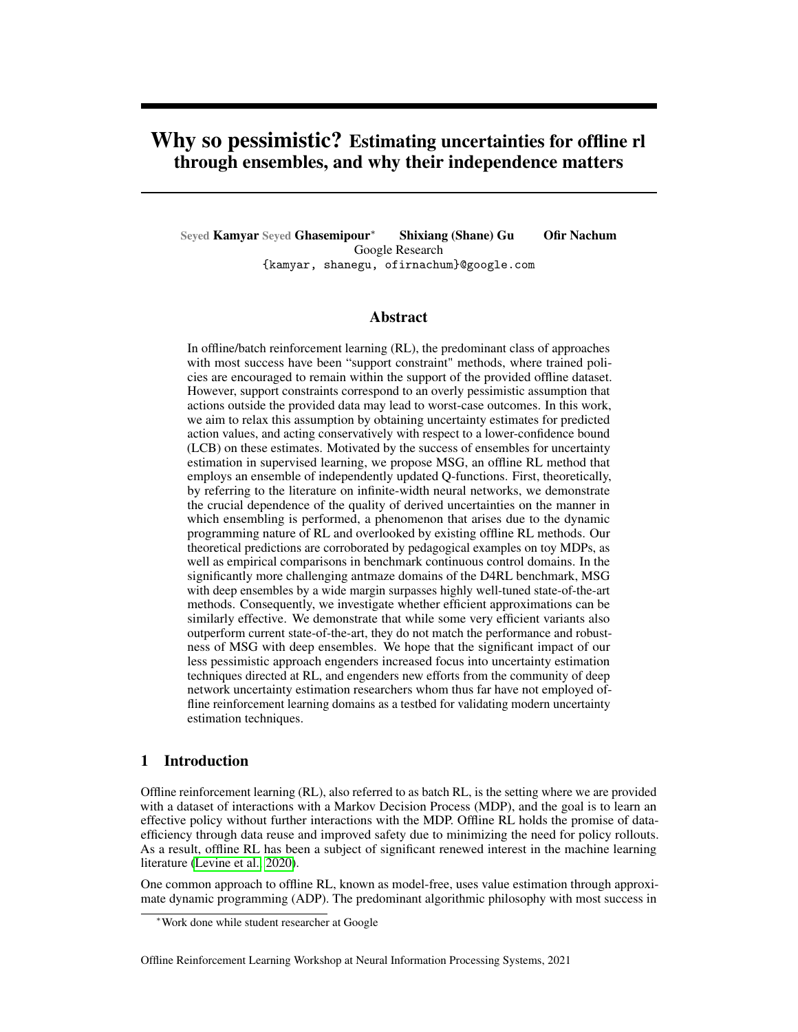# Why so pessimistic? Estimating uncertainties for offline rl through ensembles, and why their independence matters

Seyed Kamyar Seyed Ghasemipour<sup>∗</sup> Shixiang (Shane) Gu Ofir Nachum Google Research {kamyar, shanegu, ofirnachum}@google.com

### Abstract

In offline/batch reinforcement learning (RL), the predominant class of approaches with most success have been "support constraint" methods, where trained policies are encouraged to remain within the support of the provided offline dataset. However, support constraints correspond to an overly pessimistic assumption that actions outside the provided data may lead to worst-case outcomes. In this work, we aim to relax this assumption by obtaining uncertainty estimates for predicted action values, and acting conservatively with respect to a lower-confidence bound (LCB) on these estimates. Motivated by the success of ensembles for uncertainty estimation in supervised learning, we propose MSG, an offline RL method that employs an ensemble of independently updated Q-functions. First, theoretically, by referring to the literature on infinite-width neural networks, we demonstrate the crucial dependence of the quality of derived uncertainties on the manner in which ensembling is performed, a phenomenon that arises due to the dynamic programming nature of RL and overlooked by existing offline RL methods. Our theoretical predictions are corroborated by pedagogical examples on toy MDPs, as well as empirical comparisons in benchmark continuous control domains. In the significantly more challenging antmaze domains of the D4RL benchmark, MSG with deep ensembles by a wide margin surpasses highly well-tuned state-of-the-art methods. Consequently, we investigate whether efficient approximations can be similarly effective. We demonstrate that while some very efficient variants also outperform current state-of-the-art, they do not match the performance and robustness of MSG with deep ensembles. We hope that the significant impact of our less pessimistic approach engenders increased focus into uncertainty estimation techniques directed at RL, and engenders new efforts from the community of deep network uncertainty estimation researchers whom thus far have not employed offline reinforcement learning domains as a testbed for validating modern uncertainty estimation techniques.

### 1 Introduction

Offline reinforcement learning (RL), also referred to as batch RL, is the setting where we are provided with a dataset of interactions with a Markov Decision Process (MDP), and the goal is to learn an effective policy without further interactions with the MDP. Offline RL holds the promise of dataefficiency through data reuse and improved safety due to minimizing the need for policy rollouts. As a result, offline RL has been a subject of significant renewed interest in the machine learning literature (Levine et al., 2020).

One common approach to offline RL, known as model-free, uses value estimation through approximate dynamic programming (ADP). The predominant algorithmic philosophy with most success in

<sup>∗</sup>Work done while student researcher at Google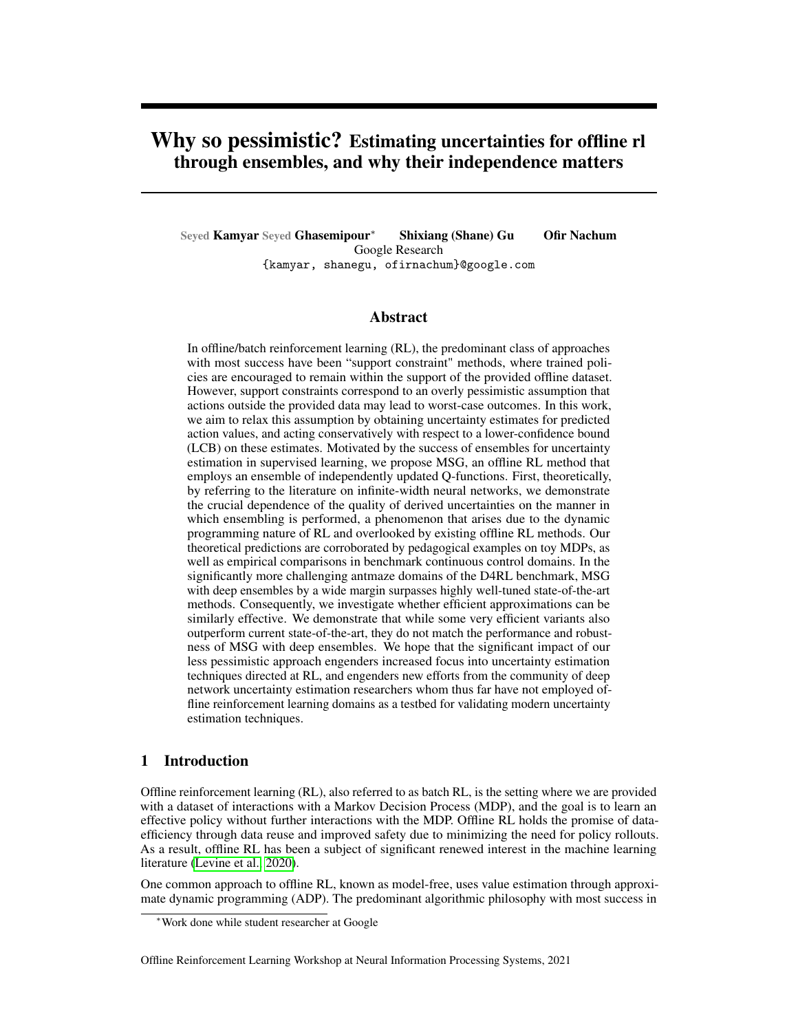ADP-based of ine RL is to limit obtained policies to the support set of the available of ine data, with the intuition being that such constraints would reduce inaccurate value estimates since the actions chosen by the policy are close to the observed data. A large variety of methods have been developed for enforcing such constraints, examples of which include regularizing policies with behavior cloning objectives (Kumar et al., 2019; Fujimoto & Gu, 2021), only performing updates on actions observed in (Peng et al., 2019; Nair et al., 2020; Wang et al., 2020; Ghasemipour et al., 2021) or close to (Fujimoto et al., 2019) the of ine dataset, and regularizing to lower the estimated value of actions not seen in the dataset (Wu et al., 2019; Kumar et al., 2020; Kostrikov et al., 2021).

Support constraint forms of regularization correspond to an overly pessimistic assumption that any action outside the provided data leads to highly negative outcomes (Buckman et al., 2020). Instead, it would be preferable if we could place more trust into the predictions of value networks beyond the training dataset. Indeed in adjacent elds of A.I., for different tasks of interest, researchers have spent signi cant effort developing architectures with built-in inductive biases to help neural networks not only obtain strong accuracy on the training set, but perform well beyond the data they were trained on: convolutional and residual networks for computer vision (He et al., 2016), recurrent networks and transformers for NLP (Vaswani et al., 2017), graph neural networks for graph-based data (Li et al., 2015), and Nerf and Siren for effective signal modelling (Sitzmann et al., 2020; Mildenhall et al., 2020).

However, trusting the predictions of neural networks beyond the training data is a challenging ordeal. Many works have demonstrated that neural networks are prone to making high-con-dence incorrect predictions outside the training set, even on i.i.d. test data (Guo et al., 2017). This is a particularly major issue for value estimation, since errors rapidly accumulate through dynamic programming and lead to catastrophic results. Thus, in order to trust our models beyond the training set, a potentially promising approach would be to obtain high quality uncertainty estimates on predicted action values.

In current supervised learning literature, "Deep Ensembles" and their more ef cient variants have been shown to be the most effective method for uncertainty estimation (Ovadia et al., 2019). In this work, we aim to transfer the success of ensembles for uncertainty estimation to the setting of ofine RL. We begin by presenting MSG, an actor-critic ofine RL algorithm leveraging an ensemble of Q-value functions. MSG trains Q-value functions completely independent of one-another, and updates an actor network with respect to a lower con dence bound (LCB) on action values obtained from the ensemble. By referring to the literature on in nite-width neural networks, we theoretically demonstrate the critical importance of independence in Q-functions, a deviation from standard practice in RL which more often uses the full ensemble to compute identical target values for training each ensemble member. Our theoretical predictions are corroborated by experiments in a toy MDP, and their relevance to practical settings is also veri ed through benchmark experiments.

In established benchmarks for ofine RL, we demonstrate that MSG matches, and in the more challenging domains, signi cantly exceeds the prior state-of-the-art. Inspired by this success, we investigate whether the performance of MSG can be recovered through modern ef cient approaches to ensembling. While we demonstrate that ef cient ensembles continue to outperform current state-of-the-art batch RL algorithms, they cannot recover the performance of MSG using full deep ensembles.

We hope that our work highlights some of the unique challenges of uncertainty estimation in reinforcement learning, and the signi cant impact it can have on the performance of algorithms. We also hope that our work encourages stronger engagement from researchers specializing in uncertainty estimation techniques – who typically use computer vision and NLP tasks as benchmarks – to use ofine RL as an additional testbed. Our results reveal that ofine RL presents unique challenges not seen in standard supervised learning, due to the accumulation of errors over multiple back ups, and can be a valuable domain for testing novel uncertainty estimation techniques.

## 2 Related Work

Uncertainty estimation is a core component of RL, since an agent only has a limited view into the mechanics of the environment through its available experience data. Traditionally, uncertainty estimation has been key to developing proper lorationstrategies such as upper con dence bound (UCB) and Thompson sampling (Lattimore & Szepesvári, 2020), in which an agent is encouraged to seek out paths where its uncertainty is high. Of ine RL presents an alternative paradigm, where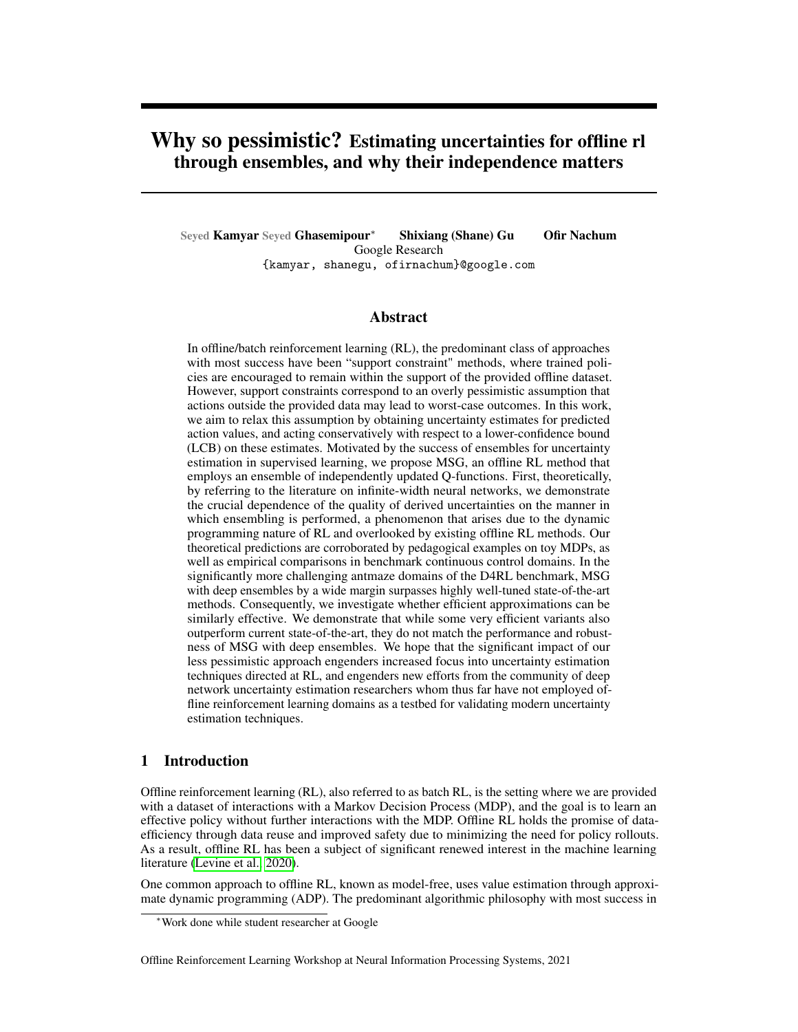the agent must act conservatively and is thus encouraged to seek out paths where its uncertainty is low (Buckman et al., 2020). In either case, proper and accurate estimation of uncertainties is paramount. To this end, much research has been produced towards the end of devising provably correct uncertainty estimates (Thomas et al., 2015; Feng et al., 2020; Dai et al., 2020), or, at least, bounds on uncertainty that are good enough for acting either exploratory (Strehl et al., 2009) or conservatively (Kuzborskij et al., 2021). However, these approaches require exceedingly simple environment structure, typically either a nite discrete state and action space or linear spaces with linear dynamics and rewards.

While theoretical guarantees for uncertainty estimation are more limited in practical situations with deep neural network function approximators, a number of works have been able to achieve practical success, for example using deep network analogues for count-based uncertainty (Ostrovski et al., 2017), Bayesian uncertainty (Ghavamzadeh et al., 2016; Yang et al., 2020), and bootstrapping (Osband et al., 2019; Kostrikov & Nachum, 2020). Many of these methods employ ensembles. In fact, in continuous control RL, it is common to use an ensemble of two value functions and use their minimum for computing a target value during Bellman error minimization (Fujimoto et al., 2018). A number of works in of ine RL have extended this to propose backing up minimums or lower con dence bound estimates over larger ensembles (Kumar et al., 2019; Wu et al., 2019; Agarwal et al., 2020). In our work, we continue to nd that ensembles are extremely useful for acting conservatively, but the manner in which ensembles are used is critical. Speci cally our proposed MSG algorithm advocates for using independently learned ensembles, without sharing of target values, and this import design decision is supported by empirical evidence.

The widespread success of ensembles for uncertainty estimation in RL echoes similar ndings in supervised deep learning. While there exist proposals for more technical approaches to uncertainty estimation (Li et al., 2007; Neal, 2012; Pawlowski et al., 2017), ensembles have repeatedly been found to perform best empirically (Lee et al., 2015; Lakshminarayanan et al., 2016). Much of the active literature on ensembles in supervised learning is concerned with computational ef ciency, with various proposals for reducing the compute or memory footprint of training and inference on large ensembles (Wen et al., 2020; Zhu et al., 2019; Havasi et al., 2020). While these approaches have been able to achieve impressive results in supervised learning, our empirical results suggest that their performance suffers signi cantly in an of ine RL setting compared to deep ensembles, and even naive Multi-Head ensembles (Lee et al., 2015; Osband et al., 2016; Tran et al., 2020) which are not considered to be as effective in the supervised learning setting(Havasi et al., 2020).

## 3 Methodology

Notation Throughout this work, we represent Markov Decision Process (MDPMas  $hS; A; r; P; i$ , with state space, action space, reward functionr : S A! R, transition dynamicsP, and discount . In ofine RL, we assume access to a dataset of interactions with the MDP, which we will represent as collection of tuplBs = f (s; a; s<sup>0</sup>; r; term )g<sup>N</sup>, wheret is an indicator variable that is set to True whehis a terminal state.

Two neural networks with an identical architecture, trained in an identical manner, will make different predictions outside the training set when their weights are initialized with different random draws from the initial weight distribution. So a natural question is, "Which network's predictions can we trust?" An answer to this question can be motivated by referring to the literature on in nite-width networks. When performing mean-squared error regression in the in nite-width regime, informally speaking, an intriguing property is that the distribution of predictions on unseen data is given by a Gaussian Process whose kernel function is solely de ned by, 1) the architecture, and 2) the choice of initial weight distribution (Lee et al., 2019). Hence, to leverage the built-in architectural inductive biases of value networks for of ine RL, we can train policies to act with respect to the lower-con dence bound (LCB) of the derived Gaussian Process.

In what follows, we present our proposed algorithm, MSG, which leverages ensembles to approximate the LCB. Additionally, using the literature on in nite-width networks, we demonstrate the theoretical advantage of forming ensembles in the manner we propose, which deviates from the current use of ensembles in the reinforcement learning literature.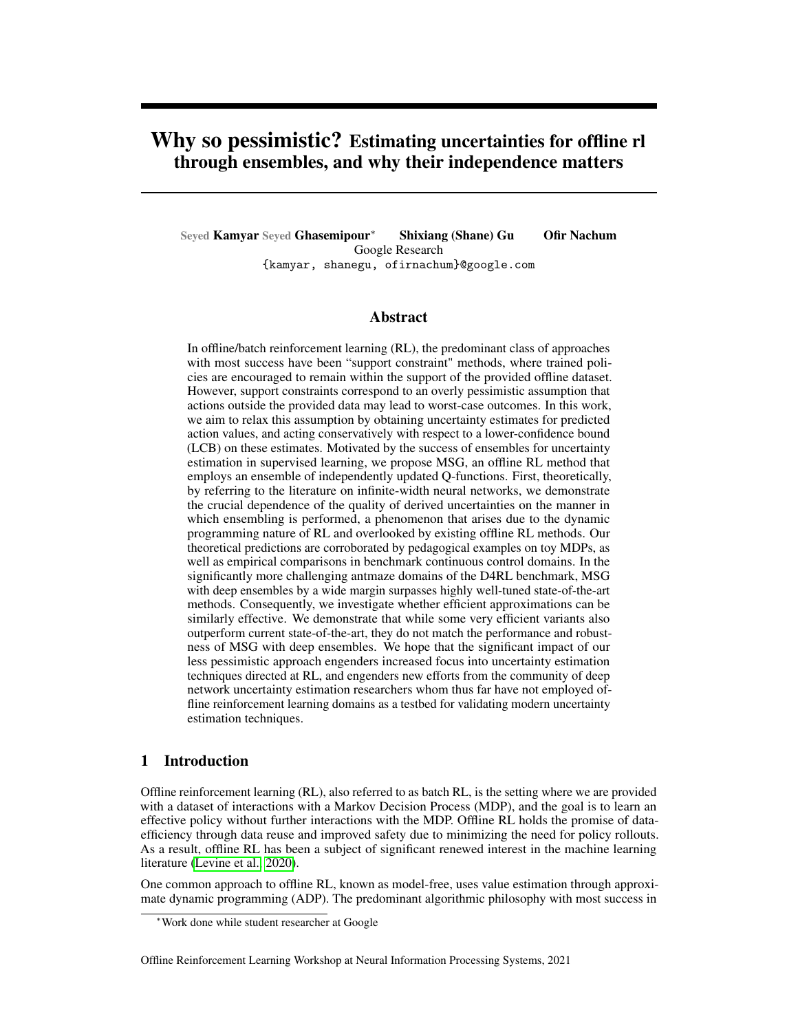### 3.1 Model Standard-deviation Gradients (MSG)

MSG follows an actor critic setup where in each iteration, we rst estimate the Q-values of the current policy, and subsequently optimize the policy through gradient ascent on the lower con-dence bound of action value estimates.

Policy Evaluation At the beginning of training, we create an ensemble  $d\Omega$ -functions by taking N samples from the initial weight distribution. Throughout training, the loss for the Q-functions is the standard least-square Q-evaluation loss,

L( i ) = E(s;a;r;s <sup>0</sup>;t ) <sup>D</sup> h Q <sup>i</sup> (s; a) y i (r; s<sup>0</sup> ; term; ) 2 i (1) h i

$$
y^{i} := r + (1 \text{ term}) \qquad E_{a^{0}}(s^{0}) \qquad Q_{i}(s^{0}; a^{0})
$$
 (2)

where  $\frac{1}{2}$ ; i denote the parameters and target network parameters för tantunction, anderm =  $1[s<sup>0</sup>$  is termina]. In practice, the expectation in equation 1 is estimated by a minibatch, and the expectation in equation 2 is estimated with a single action sample from the policy. After every update to the Q-function parameters, their corresponding target parameters are updated to be an exponential moving average of the parameters in the standard fashibay factor to note is that, in contrast to the typical usage of ensembles in actor critic algorithms, each ensemble member's update (andy<sup>1</sup>) is completely independent from other ensemble members. As we will present below, this an important algorithmic choice, both theoretically (Theorem 4.1) and empirically (section 5.3.2).

Policy Optimization As described above, the choice of architecture and weight initialization induces a distribution on predictions. Having approximated this distribution using an ensemble of value networks, we can optimize the policy with respect to a lower con dence bound on action values. Speci cally, our proposed policy optimization objective in MSG is,

$$
\begin{array}{cccc}\n\text{h} & \text{i} & \text{h} & \text{i} & \text{h} \\
\text{max } \text{E}_{\text{s}} & \text{D};\text{a} & \text{(s)} & \text{(s; a)} + \text{(s; a)} & \text{where} & \text{(s; a)} = \text{m} \text{e} \\
\text{max } \text{E}_{\text{s}} & \text{D};\text{a} & \text{(s; a)} + \text{(s; a)} & \text{where} & \text{(s; a)} = \text{m} \text{e} \\
\text{max } \text{E}_{\text{s}} & \text{D};\text{a} & \text{(s; a)} + \text{(s; a)} & \text{where} & \text{(s; a)} = \text{m} \text{e} \\
\text{max } \text{E}_{\text{s}} & \text{D};\text{a} & \text{(s; a)} + \text{(s; a)} & \text{(s; a)} + \text{(s; a)} & \text{(s; a)} + \text{(s; a)} \\
\text{max } \text{E}_{\text{s}} & \text{D};\text{a} & \text{(s; a)} + \text{(s; a)} & \text{(s; a)} + \text{(s; a)} & \text{(s; a)} + \text{(s; a)} \\
\text{max } \text{E}_{\text{s}} & \text{D};\text{a} & \text{(s; a)} + \text{(s; a)} & \text{(s; a)} + \text{(s; a)} \\
\text{max } \text{E}_{\text{s}} & \text{D};\text{a} & \text{(s; a)} + \text{(s; a)} & \text{(s; a)} + \text{(s; a)} \\
\text{max } \text{E}_{\text{s}} & \text{D};\text{a} & \text{(s; a)} + \text{(s; a)} \\
\text{max } \text{E}_{\text{s}} & \text{D};\text{a} & \text{(s; a)} + \text{(s; a)} \\
\text{max } \text{E}_{\text{s}} & \text{D};\text{a} & \text{(s; a)} + \text{(s; a)} \\
\text{max } \text{E}_{\text{s}} & \text{D};\text{a} & \text{(s; a)} + \text{(s; a)} \\
\text{max } \text
$$

where 2 R is a hyperparameter that trades off conservatism and optimism. As our problem setting is that of of ine RL requiring conservatism, we use  $\,0.$ 

#### 3.2 The trade-off between trust and pessimism

While our hope is to leverage the distributions induced by the architecture choice, it is not always feasible to do so; designed architectures can still be fundamentally biased in some manner, or we can simply be in a setting with insuf cient data coverage. Thus we need to trade-off trusting the generalization ability of our models with the pessimistic approach of support constraints. In this work, inspired by CQL (Kumar et al., 2020), we add the following regularizer to our policy evaluation objective (equation 1), h i

$$
R(^{i}) = E_{s D} E_{a (a|s)} [Q_{i}(s;a)] Q_{i}(s;a_{D})
$$
 (3)

wherea<sub>D</sub> denotes the action taken in staten the dataset. We control the contribution $Rf^{i}$ ) by weighting this term with weight parameter Practically, we estimate the outer expectation using the states in the mini-batch, and we approximate the inner expectation using a single sample from the policy. An example scenario where we have observed such a regularizer is helpful is when the ofine dataset only contains a narrow (e.g., expert) data distribution. We believe this is because the power of ensembles comes from predicting a value distribution for une and based on the available training data. Thus, if no data for sub-optimal actions is present, ensembles cannot make accurate predictions and increased pessimism for unseen actions becomes necessary.

### 4 Independence in ensembles matters

#### 4.1 The structure of uncertainties depends on how ensembling is done

In the reinforcement learning literature, ensembles are widely used for combatting over-estimation bias (Haarnoja et al., 2018; Fujimoto et al., 2018, 2019; Kumar et al., 2020; Agarwal et al., 2020;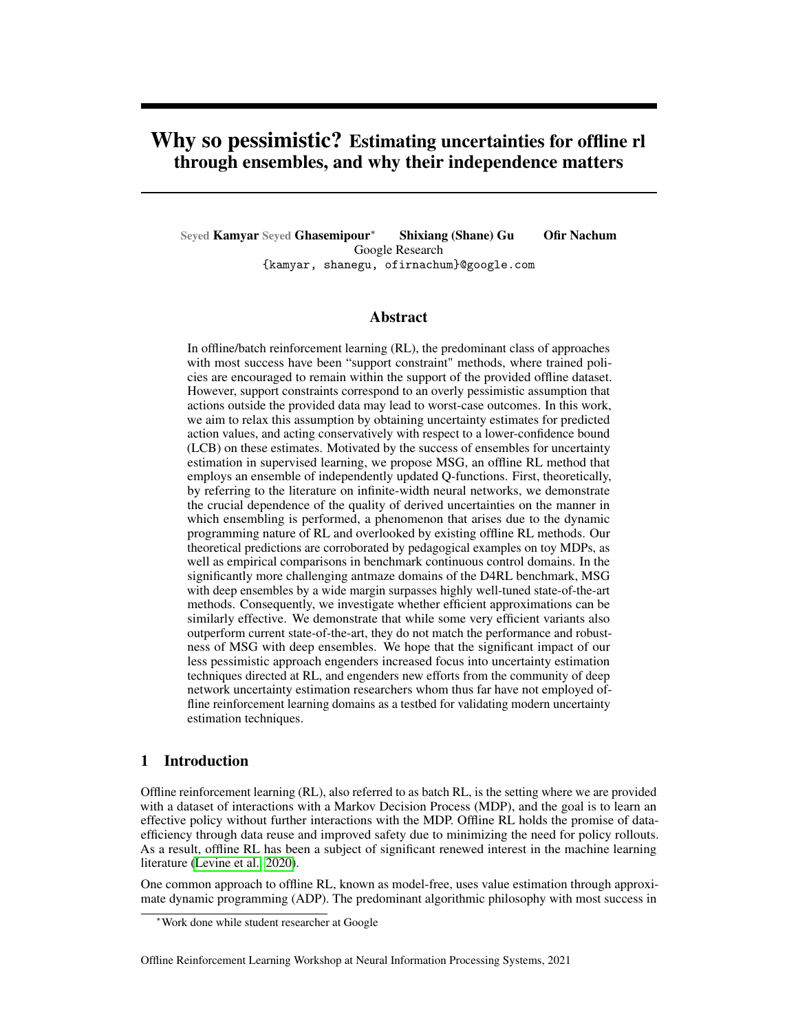Ghasemipour et al., 2021). However, the typical usage of ensembles is to compute a target value y using an ensemble of target networks, and subsequently update all the Q-functions with respect to the same target, typically the minimum over targets. Hence, the objectives for all the Q-functions share the same target value. In this section, drawing upon the literature of in nitely wide networks, we demonstrate that having the updates for ensemble members be independent of one another – as done in MSG – results in uncertainty estimates that align more closely with intuitive expectations, compared to when their targets are shared.

We study this difference in the setting of policy evaluation using an in nite ensemble of in nitewidth Q-function networks (i.e. an ensemble of in nitely many Q-functions, each of which is an in nite-width neural network, with the only difference being that their weights are initialized through independent random draws from the initial weight distribution is sake of simplicity of derivations we assume that the policy we are trying to evaluate is deterministic and that we do not have terminal states in the MDPThe policy evaluation routine we consider is Fitted Q-Evaluation (Fonteneau et al., 2013), which can be described as repeatedly performing the following steps,

Compute TD Targets For each(s; a; r; s<sup>0</sup>) 2 D compute the TD targets (r; s<sup>0</sup>, )

Fit the Q-functions For each ensemble member, optimize the following objective until convergence using full batch gradient descent.

$$
\frac{1}{jDj} \sum_{(s; a; r; s^{-1})^2 D}^{j} Q_{i}(s; a) y^{i}(r; s^0, )^{2}.
$$
 (4)

First we establish some notation. Letdenote a matrix where the rows are the state-action pairs  $(s; a)$  in the of ine dataset. LeR be thejDj  $-1$  matrix containing the rewards observed after each (s; a) in X. Let X<sup>0</sup> denote a matrix where the rows are the next state and policy as for(s<sup>0</sup>)) Additionally let,

$$
\wedge_{0}(A;B) := r \quad Q \ (A) \quad r \quad Q \ (B)^{T} j_{t=0} \qquad \wedge_{0}^{1} := \wedge_{0}(X;X) \quad 1 \qquad C := \wedge_{0}(X^{0},X) \quad \wedge_{0}^{1}.
$$

 $^{\wedge}$ <sub>0</sub>(A; B) above is referred to as the tangent kernel (Jacot et al., 2018), which is de ned as the outerproduct of gradients of the Q-function, at initialization (iteratien0 ). The de nition of  $\mathsf{\Lambda}_{\mathsf{0}}$ does not contain the variablendexing the ensemble members because, at in nite width(A; B) converges to a deterministic kernel and hence is the same for all ensemble members.

Intuitively, C is ajDj j Dj matrix where $c_{p;q}$  (the element at rowp, columnq) captures a notion of similarity betweer(s<sup>0</sup>; (s<sup>0</sup>)) in thep<sup>th</sup> row of X <sup>0</sup>, and(s; a) in theq<sup>th</sup> row of X . Let Y<sub>t</sub> (with shape Dj 1) denote the targets used for tting  $\pm$  at iterationt.

Here, we will study the difference between the following two methods for computing targets: one where each ensemble member uses its own predictions to compute the TD targets (analogous to MSG), and another where all ensemble members share same target (analogous to typical use of ensembles in of ine RL):

Method 1 (MSG, Independent Targets):  $y^{i}(s; a) = r + Q_{i}(s^{0}, (s))$ Method 2 (Shared LCB): 8i;  $y^i$  (s; a) = r + " E ensemble h  $Q_+(s^0; (s))$ i Std ensemble h  $Q_{i}(s^{0}; (s))$ i #

As can be seen in Appendix F, for the two methods considered above, under the described policy evaluation procedure, the values  $(s; a)$ <sub>i</sub> (at iterationt) can be computed in closed form for all  $(s; a)$  2 S A . This enables us to compare the nal distribution  $\Omega(s; a)$  after policy evaluation under two methods.

Theorem 4.1. Aftert iterations, for both Method 1 and Method 2 we have, r

Independent:LCB  $Q_{t+1}(X^0)$   $(1 + \cdots + {}^{t}C^{t})CR$ E h  $(1 + \cdots + {}^{t}C^{t})(Q_{0}(X^{0}) \quad CQ_{0}(X))$ <sup>2</sup> i Shared LCB:LCB  $Q_{t+1}(X^0)$   $(1 + \cdots + {}^{t}C^{t})CR$   $(1 + \cdots + {}^{t}C^{t})$ r E h  $\overline{\mathsf{Q}_0(\mathsf{X}^{\,\mathsf{0}}\!) \quad \mathsf{C}\mathsf{Q}_0(\mathsf{X}\,) \; \xrightarrow{\mathrm{2^{\mathsf{i}}}}$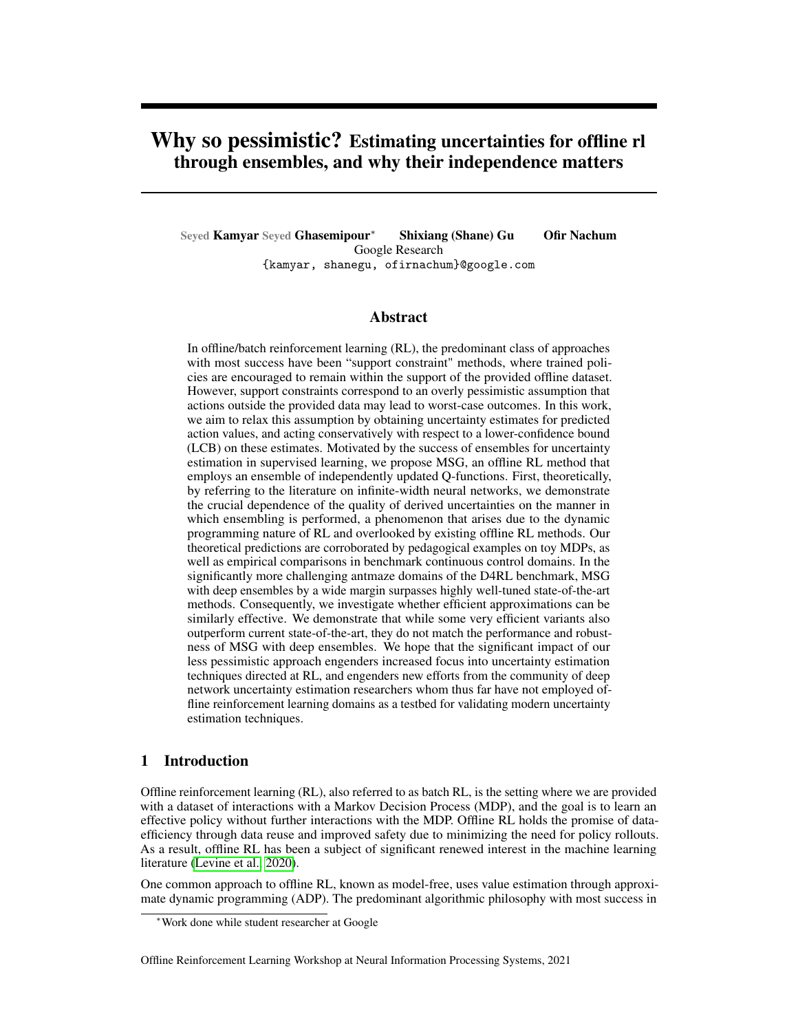where LCB refers to mean - std, and the square and square-root operations are applied element-wise.

Proof. Please refer to Appendix F.

As can be seen, the equations for the lower-con dence bound (LCB) in both settings are very similar, with the main difference being in the second terms which correspond to the "pessimism" terms. In ensembles, the only source of randomness is in the initialization of the networks. In the in nite-width setting this presents itself in the two equations above, where the random va $@$ a $\phi$ e $\$   $\quad$   $\rm CQ_{0}(X)$ produce the uncertainty in the ensemble of networks: For both Independent and Shared-LCB, at iterationt + 1 we have,

$$
Q_{t+1}(X^0) = Q_0(X^0) + C(Y_t \quad Q_0(X))
$$
\n(5)

$$
= CYt + (Q0(X0) CQ0(X))
$$
 (6)

 $\Box$ 

Thus, $Q_0(X^0)$   $CQ_0(X)$  represents the random value accumulated in each iteration. The accumulation of the uncertainty is captured by the geometric term  $::+$   $^{\text{t}}\text{C}^{\text{t}}$ . Here is where we observe the key difference between Independent and Shared-LCB: whether the term : +  $\ ^{\,t}C^{t}$ ) is applied inside or outside the expectation. In Independent ensembles, the randomness/uncertainty is rst backed-up by the geometric term and afterward the standard-deviation is computed. In Shared-LCB however, rst the standard-deviation of the randomness/uncertainty is computed, and afterwards this value is backed up. Not only do we believe that the former (Independent) makes more sense intuitively, but in the case of Shared-LCB be pessimism term may contain negative values which would actually result in an optimism bonuns will be discussed below, we also empirically investigate this question in section 5.3.2 (results in Figure 3) and nd that while Shared-LCB can perform decently in D4RL gym locmotion (Fu et al., 2020), Shared-LCB (and Shared-Min) completely fail on the more challenging domains. This is in line with the observation that no prior ofine RL methods rely solely on Shared-LCB or Shared-Min as the source of pessimism/conservatism (Fujimoto et al., 2019; Kumar et al., 2019; Ghasemipour et al., 2021; An et al., 2021).

#### 4.2 Validating theoretical predictions

In this section we aim to evaluate the validity of our theoretical discussion above in a simple toy MDP that allows us to follow the idealized setting of the presented theorems more closely, and allows for visualization of uncertainties obtained through different ensembling approaches.

Continuous Chain MDP The MDP we consider has state-space  $[-1, 1]$ , action space 2 R, deterministic transition dynamics =  $s + a$  clipped to remain insides, and reward function  $r(s; a) = 1[s^0 2 [0:75; 1]].$ 

Data Collection & Evaluation Policy The of ine dataset we generate consists of 40 episodes, each of length 30. At the beginning of each episode we initialize at a random state In each step take a random action sampled from if ( $0.3, 0.3$ ), and record all transition(ss; a; r; s<sup>0</sup>). For evaluating the uncertainties obtained from different approaches, we create regions of missing data by removing all transitions such that rs<sup>0</sup> are in the range 0:33; 0:33]. The policy we choose to evaluate with the different approaches  $\sin$  (s) = 0:1.

Optimal Desired Form of Uncertainty Note that the evaluation policy( $s$ ) = 0:1 is always moving towards the positive direction, and there is lack of data for states in the interval  $(0.331, 0.331)$ . Hence, what we would expect is that in the region33; 1] there should not be a signi cant amount of uncertainty, while in the region 1; 0:33] there should be signi cantly more uncertainty about the Q-values of because the policy will be passing through  $( 33; 0.33]$  where there is no data.

Results We visualize and compare the uncertainties obtained when the targets in the policy evaluation procedure are computed as:

Independent (MSG): 
$$
y^{i} = r + Q_{i}(s^{0}, (s^{0}))
$$

\nIndependent Double-Q:  $y^{i} = r + \min Q^{i}(s^{0}, (s^{0}))$ ;  $Q^{2}(s^{0}, (s^{0}))$ 

\nshared Mean:  $y = r + \max Q_{i}(s^{0}, (s^{0}))$ 

\nshared LCB:  $y = r + \max Q_{i}(s^{0}, (s^{0}))$ 

\nand  $Q_{i}(s^{0}, (s^{0}))$ 

\nand  $Q_{i}(s^{0}, (s^{0}))$ 

\nand  $Q_{i}(s^{0}, (s^{0}))$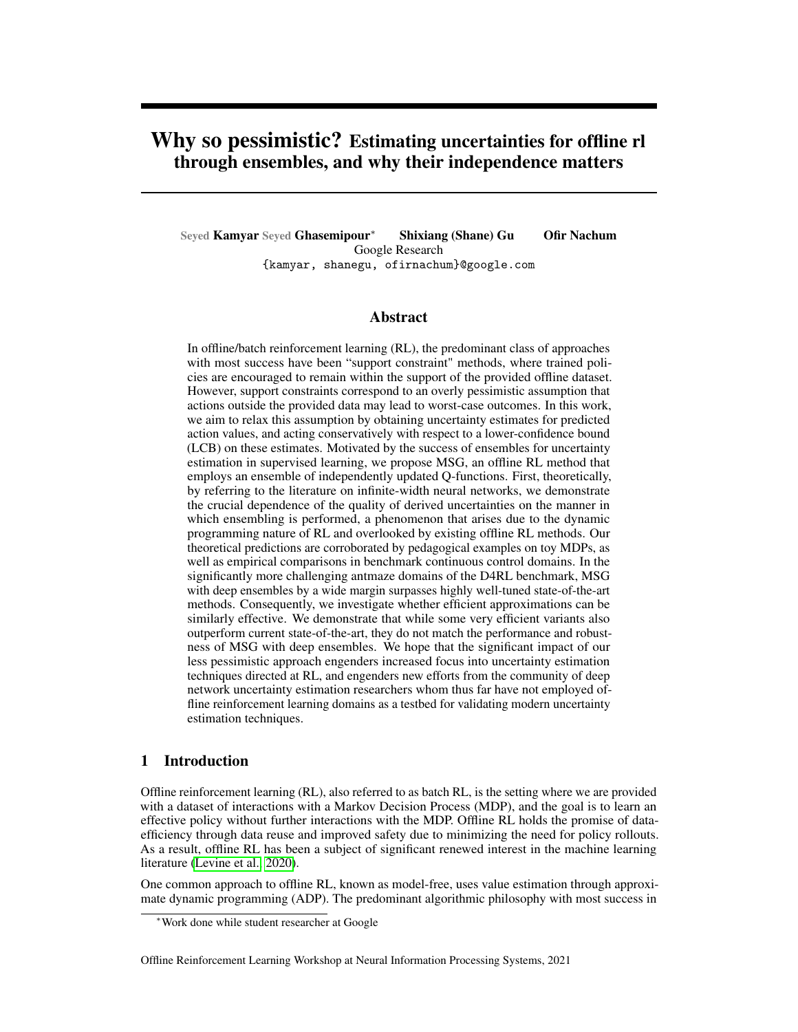Figure 1: Verifying theoretical predictions on the toy Continuous Chain MDP. The marked infer@ 33; 0:33] denotes the region of state-space with no data. As anticipated by Theorem 4.1, when the value functions are trained independently, the derived uncertainties capture the interaction between available data, the structure of the MDP, and the policy being evaluated. When the targets are shared, the networks behave similarly to performing regression for oracle-given target values, i.e. there is randomness amongst ensemble members only between[ 0:33; 0:33] because there is no data in that region.

Shared Min:  $y = r + \dots$  min h  $\mathsf{Q}$  i  $(\mathsf{s}^0\!,\!-(\mathsf{s}^0\!))$ i

We <sub>h</sub>include Independent Double-Q, as using Q-functions of the formQ(s;a) = min  $Q^1(s; a)$ ;  $Q^2(s; a)$  has become common practice in recent deep RL literature (Fujimoto et al., 2018; Haarnoja et al., 2018)

In Figure 1 we plot the mean and two standard deviations of the predicted values for the policy we evaluated, (s) = 0:1 (additional experimental details presented in Appendix G.1). The rst thing to note is that, "Independent" ensembles effectively match our desired form of uncertainty: states that under the evaluation policy lead to regions with little data have wider uncertainties than states that do not. A second observation is **Statian LCBandShared Min provide a seemingly** good approximation to the lower-bound lot dependent predictions. Nonetheless, our theoretical considerations suggest that these lower bounds may have important failure cases. Furthermore, empirically – as we discuss below (Figure 3) – we were unable to train effective policies on ofine RL benchmarks usingShared LCBandShared Min, despite the implementation differing in only 2 lines of code.

Appendix G.2 presents additional very interesting empirical observations in this toy setting which due space limitations we were unable to include in the main manuscript.We highly encourage readers interested in the intersection of in nite-width networks and RL to take a look at our observations as they may be hinting at intriguing avenues for future theoretical and practically important work.

## 5 Experiments

In this section we seek to empirically answer the following questions: 1) How well does MSG perform compared to current state-of-the-art in ofine RL? 2) Can we match the performance of MSG through ef cient ensemble approaches popular in supervised learning literature? 3) Are the theoretical differences in ensembling approaches elaborated on in the previous section practically relevant?

### 5.1 D4RL Benchmark

We begin by evaluating MSG on the Gym (Brockman et al., 2016) subset of the D4RL ofine RL benchmark (Fu et al., 2020). Amongst the different data settings we focus our experiments on themediumand medium-replay (sometimes referred to ansixed) settings as the other data setting could not adequately differentiate between competitive methods. Experimental details such as hyperparameter search procedure are described in Appendix C.

In addition to validating MSG, a secondary objective of ours is to gain a sense for the upper bound of performance for various algorithms on D4RL Gym. For this reason – with an equal hyperparameter tuning budget – we tune the main hyperparameter for each algorithm. As can be seen in Table 3

 $2N$ ote thatIndependent Double-Q is still an independent ensemble, where each ensemble member has an architecture containing a min-pooling on top of two subnetworks.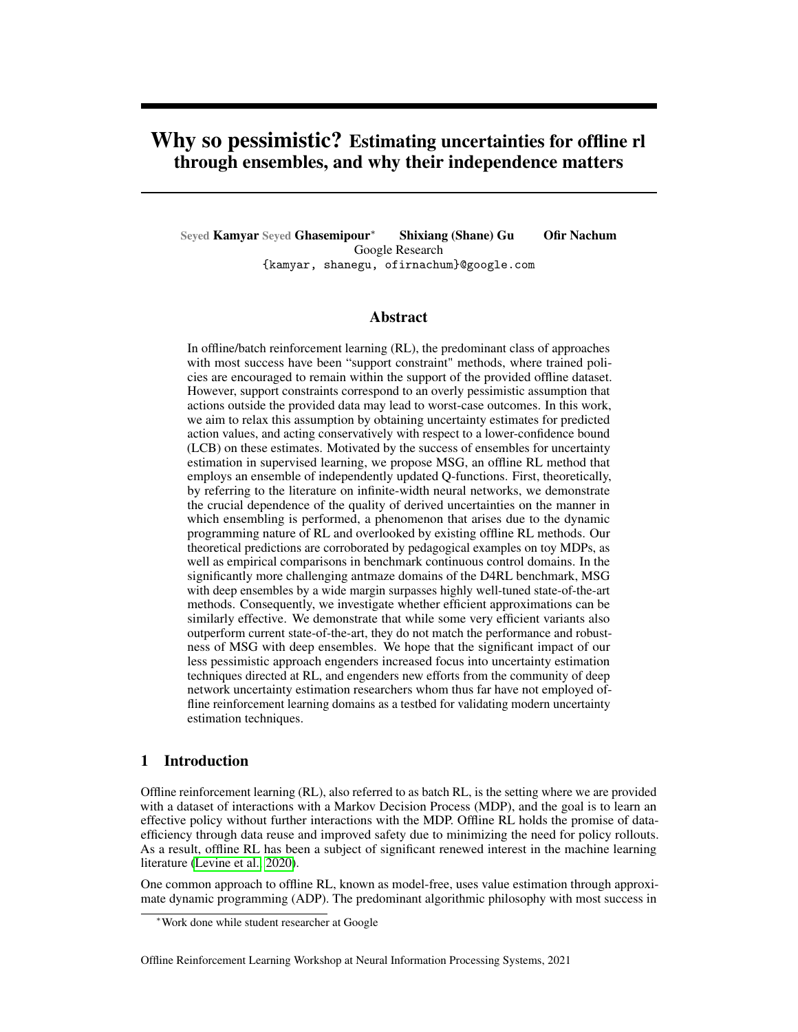Figure 2: Results for DM Control Suite subset of the RL Unplugged benchmark (Gulcehre et al., 2020). We note that: 1) the architecture we used are smaller by a factor of approximately 60x, 2) CRR results are reported by their best checkpoint throughout training which differs from ours, BC, and MuZero Unplugged which report performance at the end of training. Baseline results taken from Schrittwieser et al. (2021).

| Domain                                                                                                                                 | CQL (Reported) MSG ( $N = 64$ )              |                                              |                                          |                  |                                    |
|----------------------------------------------------------------------------------------------------------------------------------------|----------------------------------------------|----------------------------------------------|------------------------------------------|------------------|------------------------------------|
| maze2d-umaze<br>maze2d-medium<br>maze2d-large                                                                                          | 5.7<br>5.0<br>12.5                           | 100:2<br>87:4<br>147:8                       | 33:0<br>10:6<br>55:8                     | -8<br>-4         | O<br>0.1                           |
| antmaze-umaze<br>antmaze-umaze-diverse<br>antmaze-medium-play<br>antmaze-medium-diverse<br>antmaze-large-play<br>antmaze-large-diverse | 74.0<br>84:0<br>61.2<br>53.7<br>15.8<br>14.9 | 96:8<br>60:2<br>80:0<br>78:8<br>64:8<br>68:8 | 2:0<br>7:1<br>9:4<br>5:5<br>10:7<br>11:7 | 8<br>8<br>8<br>8 | 0:1<br>0:5<br>0:1<br>0:1<br>0<br>O |

Table 2:D4RL antmaze tasks. Figure

Table 1: Result on D4RL maze2d and antmaze domains. Astaken from Fu et al. (2020). we were unable to reproduce CQL antmaze results, we present the numbers reported by the original paper which uses the same network architectures.

(Appendix A), across the board in D4RL Gym, MSG is competitive with very well-tuned current state-of-the-art algorithms, CQL (Kumar et al., 2020) and F-BRC (Kostrikov et al., 2021). We also note that our results for baseline algorithms exceed prior reported results (often signi cantly), providing us con-dence in their implementation.

Thus far we established the validity of MSG as an of ine RL algorithm. However, on the gym domains considered above, MSG's performance is on par with CQL and F-BRC, and does not motivate the use of ensembles in lieu of support constraints. To enable a better comparison amongst competing algorithms, we experiment with the signi cantly more challenging antmaze tasks.

The antmaze tasks in D4RL, and in particular the two antmaze-large settings, are considered to be extremely challenging. The data for antmaze tasks consists of many episodes of an Ant agent (Brockman et al., 2016) running along arbitrary paths in a maze. The data from these trajectories is relabeled with a reward of when near a particular location in the maze (at which point the episode is terminated), and otherwise. The undirected, extremely sparse reward nature of antmaze tasks make them very challenging, especially for the large maze sizes.

To the best of our knowledge, the antmaze-large domains are considered unsolved, unless specialized technique such as hierarchical policies – which signi cantly simplify the problem – are used (e.g. Ajay et al. (2020)). The current state-of-the-art is CQL (Kumar et al., 2019), and is the method we compare to. Table 1 presents our empirical results. As we were unable to reproduce the reported results for CQL, for fairness we include the numbers reported by the original work which uses the same network architectures. As can be seen, MSG achieves unprecedented results on the antmaze domains, clearly demonstrating the signi cant advantage of employing ensembles for batch RL.

### 5.2 RL Unplugged

Figure 2 presents additional results using the RL Unplugged benchmark (Gulcehre et al., 2020). We compare to results for Behavioral Cloning (BC) and two state-of-the-art methods, Critic-Regularized Regression (CRR) (Wang et al., 2020) and MuZero Unplugged (Schrittwieser et al., 2021). Despite the relatively very small architectures we used n(umber of parameters), we observe that MSG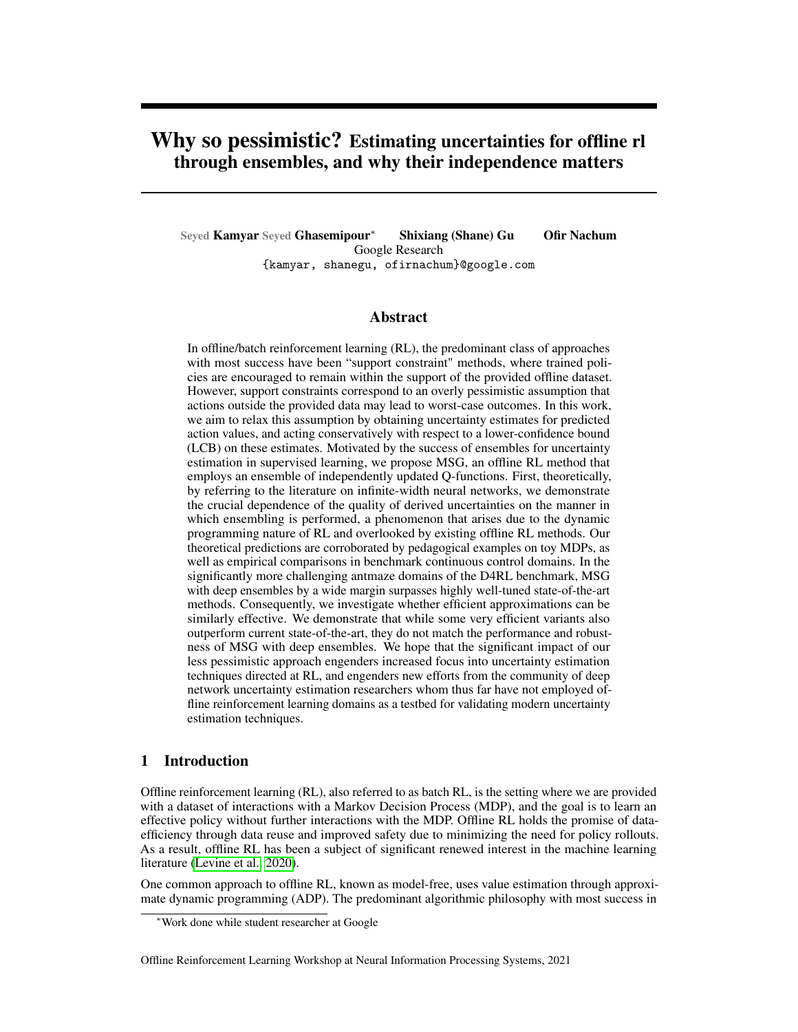Figure 3: Results for ef cient ensembles and ensemble ablations. Numerical values can be found in Table 4.

is on par with the current state-of-the-art these tasks with the except to mation of the which appears to require the larger architectures used by (Gulcehre et al., 2020). Additional experimental details as well as numerical presentation of results can be found in appendix E.

### 5.3 Ef cient Ensembles & Ensemble Ablations

In this section we dissect what aspects of MSG contribute to its superior results, and investigate whether the advantages of MSG can be realized through ef cient ensemble approximations popular in supervised learning.

### 5.3.1 Ef cient Ensmebles

Thus far we have demonstrated the signi cant performance gains attainable through MSG. An important concern however, is that of parameter and computational ef ciency: "Deep Ensembles" result in anN -fold increase in memory and compute usage for the Q-networks. While this might not be a signi-cant problem for D4RL benchmark domains due to small model footprints , it becomes a major bottleneck with larger architectures such as those used in language and vision domains. To this end, we evaluate whether recent advances in ef cient ensemble approaches also transfer well to the problem of batch RL. Speci cally, the ef cient ensemble approaches we consider are:

Multi-Head (Lee et al., 2015; Osband et al., 2016; Tran et al., 2020)Multi-Head refers to ensembles that share a "trunk" network and have separate "head" networks for each ensemble member. In this work, we modify the last layer of a value network to out put edictions instead of a single Q-value, making the computational cost of this ensemble on par with a single network.

Multi-Input Multi-Output (MIMO) (Havasi et al., 2020) MIMO is an ensembling approach that approximately has the same parameter and computational footprint as a single network. The MIMO approach only modi es the input and output layers of a given network. In MIMO, to compute predictions for data-points<sub>1</sub>; :::;  $x_N$  under an ensemble of size, the data-points are concatenated and passes to the network. The output of the network is then splining to dictions  $y_1$ ; :::;  $y_N$ . For added clari cation, we include Figure 4a depicting how a MIMO ensemble network functions.

Batch Ensembles (Wen et al., 2020) Batch Ensembles incorporate rank-1 modulations to the weights of fully-connected layers. More speci cally, let be the weight matrix of a given fullyconnected layer and latbe the input to the layer. The output of the layer for ensemble member is computed as  $((W<sup>T</sup>(x<sup>i</sup>)) s<sup>i</sup> + b<sup>j</sup>)$ , where is the element-wise product, parameters with superscript are separate for each ensemble member, and the activation function. While Batch Ensemble is ef cient in terms of number of parameters, in our actor-critic setup its computational cost is on the same order as deep ensembles since for policy updates we need to evaluate each ensemble member separately.

Results As can be seen in Table 4, the performance gains of MSG can to some extent also be realized by ef cient ensemble variants. Interestingly, in our experiments the most effective ef cient ensemble approach is Multi-Head ensembles, which is not considered to be the most competitive uncertainty estimation technique in the supervised learning literature (Havasi et al., 2020). Compared to CQL, Multi-Head ensembles continue to be competitive on D4RL gym, and noticeably outperform CQL on antmaze-large tasks. Additionally, training Multi-Head ensembles is the most ef cient method, on par with training without ensembling  $(1)$ .

Nonetheless, compared to MSG using deep ensembles, there is a signi cant performance gap. We believe this observation very clearly motivates future work in developing ef cient uncertainty estimation approaches that are better suited to the domain of reinforcement learning. To facilitate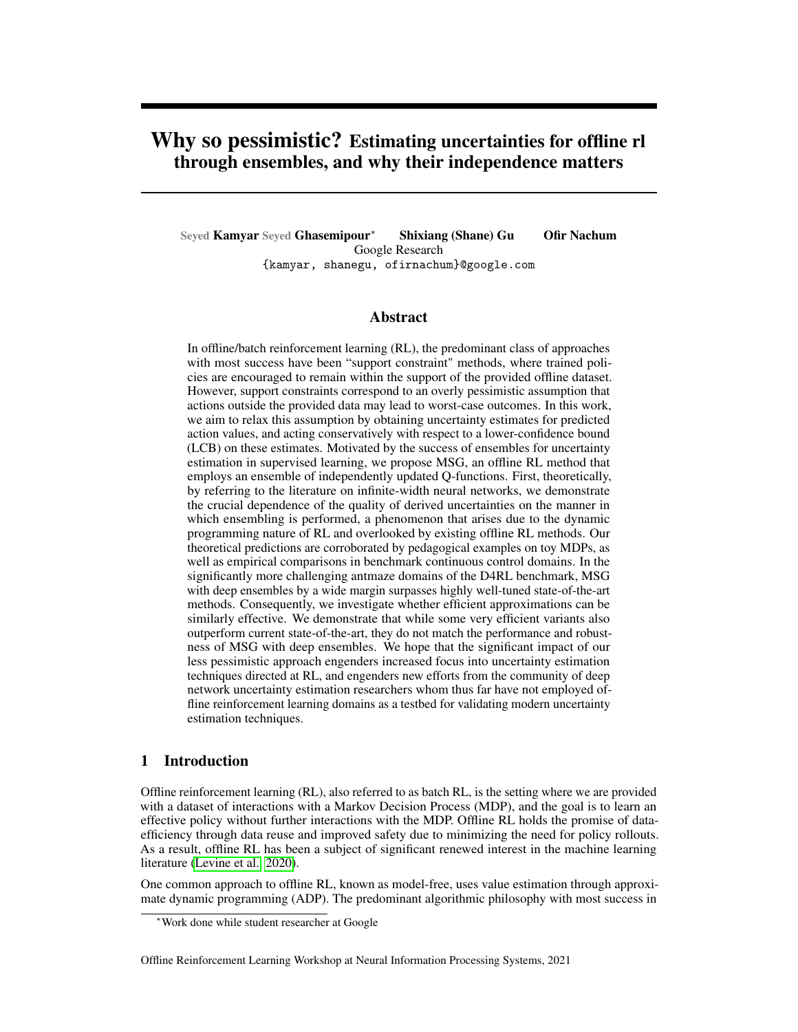this direction of research, in our codebase which will be open-sourced, we also include a complete boilerplate example amenable to drop-in implementation of novel uncertainty-estimation techniques.

### 5.3.2 Ensemble Ablations

Finally, through the ablations in Table 4 we seek to create a better sense for the various components of MSG.

Comparing MSG with deep ensembles  $\epsilon$  64), and Multi-Head ensembles ( $\epsilon$  64), to no ensembling  $(N = 1)$  we see very clearly the massive advantage of ensembling.

Comparing MSG, which usebdependent targets, toShared LCBandShared Minwe see that the latter non-independent approaches signi cantly underperform.

Comparing CQL t $\mathbb{N} = 1$  (no ensembling, only CQL-inspired regularizer), we observe that the CQL regularizer tends to be better on Gym domains, and our regularizer may be better on antmaze domains but our results are inconclusive. The advantage of the regularizer we used is signi cant computationl ef cieny due to not using importance sampling.

### 6 Discussion

Our work has highlighted the signi cant power of ensembling as a mechanism for uncertainty estimation for of ine RL. Theoretically, and practically through benchmark experiments, we have studied the critical importance of the manner in which ensembling is done. An important outstanding direction is how can we design improved ef cient ensemble approximations, as we have demonstrated that current approaches used in supervised learning – some of which do lead to state-of-the-art results ofine RL results – are not nearly as effective as deep ensembles. We hope that this work engenders new efforts from the community of deep network uncertainty estimation researchers whom thus far have not employed of ine reinforcement learning domains as a testbed for validating modern uncertainty estimation techniques.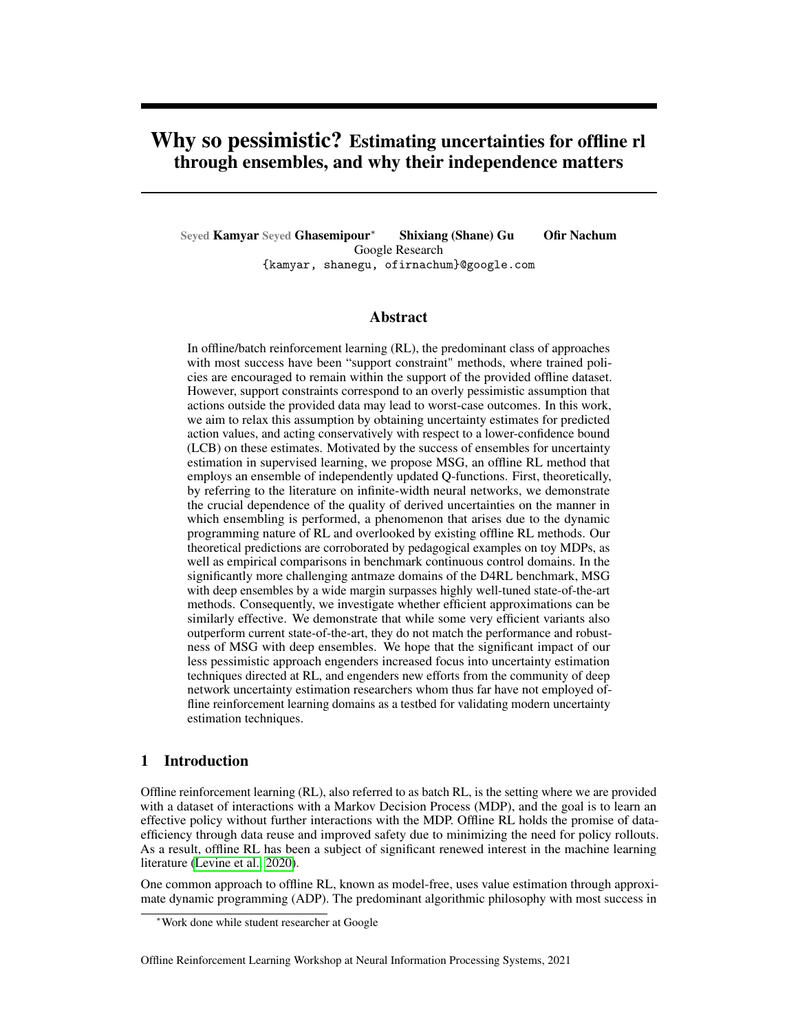## References

- Rishabh Agarwal, Dale Schuurmans, and Mohammad Norouzi. An optimistic perspective on ofine reinforcement learning. Imternational Conference on Machine Learning p. 104–114. PMLR, 2020.
- Anurag Ajay, Aviral Kumar, Pulkit Agrawal, Sergey Levine, and O-r Nachum. Opal: Ofine primitive discovery for accelerating of ine reinforcement learning Xiv preprint arXiv:2010.1361, 12020.
- Gaon An, Seungyong Moon, Jang-Hyun Kim, and Hyun Oh Song. Uncertainty-based ofine reinforcement learning with diversi ed q-ensembledvances in Neural Information Processing Systems34, 2021.
- Greg Brockman, Vicki Cheung, Ludwig Pettersson, Jonas Schneider, John Schulman, Jie Tang, and Wojciech Zaremba. Openai gymarXiv preprint arXiv:1606.0154,02016.
- Jacob Buckman, Carles Gelada, and Marc G Bellemare. The importance of pessimism in -xed-dataset policy optimization.arXiv preprint arXiv:2009.0679,92020.
- Bo Dai, O r Nachum, Yinlam Chow, Lihong Li, Csaba Szepesvári, and Dale Schuurmans. Coindice: Off-policy con dence interval estimatiorarXiv preprint arXiv:2010.1165, 2020.
- Yihao Feng, Tongzheng Ren, Ziyang Tang, and Qiang Liu. Accountable off-policy evaluation with kernel bellman statistics. Imternational Conference on Machine Learning p. 3102–3111. PMLR, 2020.
- Raphael Fonteneau, Susan A Murphy, Louis Wehenkel, and Damien Ernst. Batch mode reinforcement learning based on the synthesis of arti cial trajectori**As**nals of operations researc<sup>h</sup> and it. 383–416, 2013.
- Justin Fu, Aviral Kumar, O r Nachum, George Tucker, and Sergey Levine. D4rl: Datasets for deep data-driven reinforcement learning rXiv preprint arXiv:2004.0721, 2020.
- Scott Fujimoto and Shixiang Shane Gu. A minimalist approach to ofine reinforcement learning. arXiv preprint arXiv:2106.068602021.
- Scott Fujimoto, Herke Hoof, and David Meger. Addressing function approximation error in actorcritic methods. Inhternational Conference on Machine Learning . 1587–1596. PMLR, 2018.
- Scott Fujimoto, David Meger, and Doina Precup. Off-policy deep reinforcement learning without exploration. InInternational Conference on Machine Learning , 2052–2062. PMLR, 2019.
- Seyed Kamyar Seyed Ghasemipour, Shixiang Gu, and Richard Zemel. Smile: Scalable meta inverse reinforcement learning through context-conditional policies. 2019.
- Seyed Kamyar Seyed Ghasemipour, Dale Schuurmans, and Shixiang Shane Gu. Emaq: Expected-max q-learning operator for simple yet effective of ine and online rl. Innernational Conference on Machine Learningpp. 3682–3691. PMLR, 2021.
- Mohammad Ghavamzadeh, Shie Mannor, Joelle Pineau, and Aviv Tamar. Bayesian reinforcement learning: A surveyarXiv preprint arXiv:1609.044362016.
- Caglar Gulcehre, Ziyu Wang, Alexander Novikov, Thomas Paine, Sergio Gómez, Konrad Zolna, Rishabh Agarwal, Josh S Merel, Daniel J Mankowitz, Cosmin Paduraru, et al. Rl unplugged: A collection of benchmarks for of ine reinforcement learning dvances in Neural Information Processing System<sup>33</sup>, 2020.
- Chuan Guo, Geoff Pleiss, Yu Sun, and Kilian Q Weinberger. On calibration of modern neural networks. InInternational Conference on Machine Learning p. 1321–1330. PMLR, 2017.
- Tuomas Haarnoja, Aurick Zhou, Kristian Hartikainen, George Tucker, Sehoon Ha, Jie Tan, Vikash Kumar, Henry Zhu, Abhishek Gupta, Pieter Abbeel, et al. Soft actor-critic algorithms and applications.arXiv preprint arXiv:1812.059052018.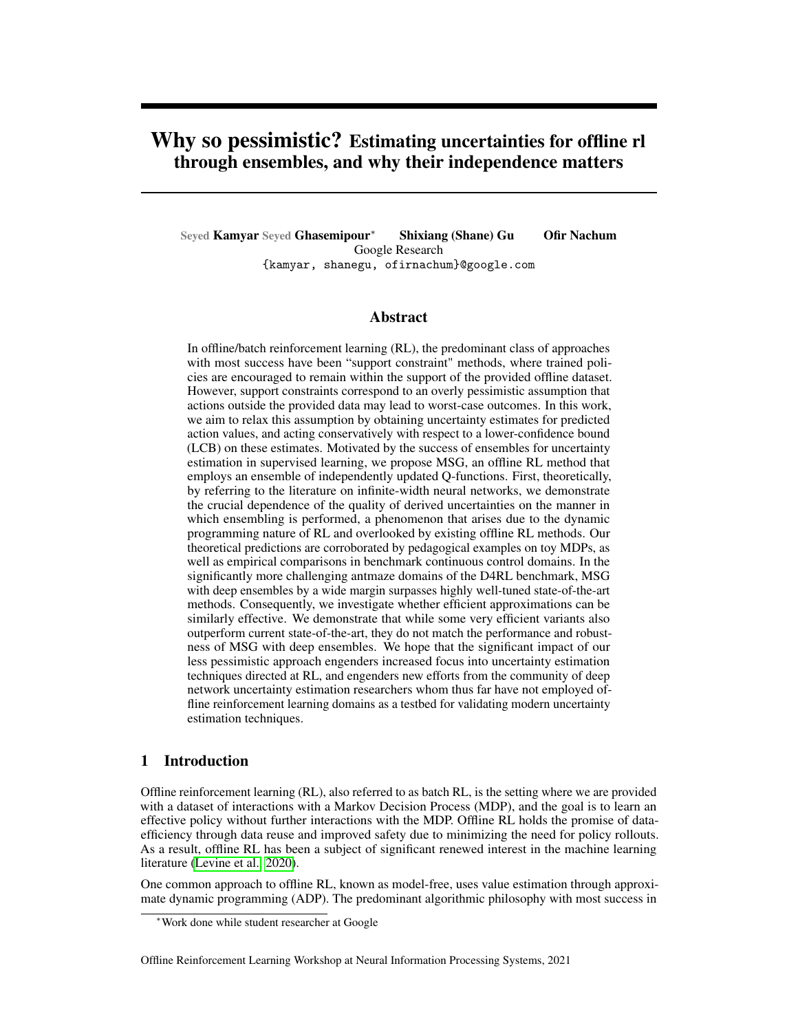- Marton Havasi, Rodolphe Jenatton, Stanislav Fort, Jeremiah Zhe Liu, Jasper Snoek, Balaji Lakshminarayanan, Andrew M Dai, and Dustin Tran. Training independent subnetworks for robust prediction.arXiv preprint arXiv:2010.0661,02020.
- Kaiming He, Xiangyu Zhang, Shaoqing Ren, and Jian Sun. Identity mappings in deep residual networks. InEuropean conference on computer visipp. 630–645. Springer, 2016.
- Arthur Jacot, Franck Gabriel, and Clément Hongler. Neural tangent kernel: Convergence and generalization in neural networkarXiv preprint arXiv:1806.075722018.
- Diederik P Kingma and Jimmy Ba. Adam: A method for stochastic optimization Niv preprint arXiv:1412.69802014.
- Ilya Kostrikov and O r Nachum. Statistical bootstrapping for uncertainty estimation in off-policy evaluation.arXiv preprint arXiv:2007.1360, 92020.
- llya Kostrikov, Rob Fergus, Jonathan Tompson, and O r Nachum. Of ine reinforcement learning with sher divergence critic regularization. International Conference on Machine Learningp. 5774–5783. PMLR, 2021.
- Aviral Kumar, Justin Fu, George Tucker, and Sergey Levine. Stabilizing off-policy q-learning via bootstrapping error reductionarXiv preprint arXiv:1906.0094, 2019.
- Aviral Kumar, Aurick Zhou, George Tucker, and Sergey Levine. Conservative q-learning for of ine reinforcement learningarXiv preprint arXiv:2006.0477,92020.
- Ilja Kuzborskij, Claire Vernade, Andras Gyorgy, and Csaba Szepesvári. Con-dent off-policy evaluation and selection through self-normalized importance weightind the trational Conference on Arti cial Intelligence and Statisticspp. 640–648. PMLR, 2021.
- Balaji Lakshminarayanan, Alexander Pritzel, and Charles Blundell. Simple and scalable predictive uncertainty estimation using deep ensembles iv preprint arXiv:1612.0147, 42016.
- Tor Lattimore and Csaba SzepesvaBiandit algorithms Cambridge University Press, 2020.
- Jaehoon Lee, Yasaman Bahri, Roman Novak, Samuel S Schoenholz, Jeffrey Pennington, and Jascha Sohl-Dickstein. Deep neural networks as gaussian processeris preprint arXiv:1711.00165 2017.
- Jaehoon Lee, Lechao Xiao, Samuel Schoenholz, Yasaman Bahri, Roman Novak, Jascha Sohl-Dickstein, and Jeffrey Pennington. Wide neural networks of any depth evolve as linear models under gradient descen Advances in neural information processing systemas 8572-8583, 2019.
- Stefan Lee, Senthil Purushwalkam, Michael Cogswell, David Crandall, and Dhruv Batra. Why m heads are better than one: Training a diverse ensemble of deep networking. preprint arXiv:1511.063142015.
- Sergey Levine, Aviral Kumar, George Tucker, and Justin Fu. Ofine reinforcement learning: Tutorial, review, and perspectives on open problems. are print arXiv:2005.0164, 32020.
- Ping Li, Jinde Cao, and Zidong Wang. Robust impulsive synchronization of coupled delayed neural networks with uncertainties. Physica A: Statistical Mechanics and its Applications 3:261–272, 2007.
- Yujia Li, Daniel Tarlow, Marc Brockschmidt, and Richard Zemel. Gated graph sequence neural networks.arXiv preprint arXiv:1511.0549,32015.
- Alexander G de G Matthews, Mark Rowland, Jiri Hron, Richard E Turner, and Zoubin Ghahramani. Gaussian process behaviour in wide deep neural networks preprint arXiv:1804.1127,12018.
- Ben Mildenhall, Pratul P Srinivasan, Matthew Tancik, Jonathan T Barron, Ravi Ramamoorthi, and Ren Ng. Nerf: Representing scenes as neural radiance elds for view synthesiaroppean conference on computer visionp. 405–421. Springer, 2020.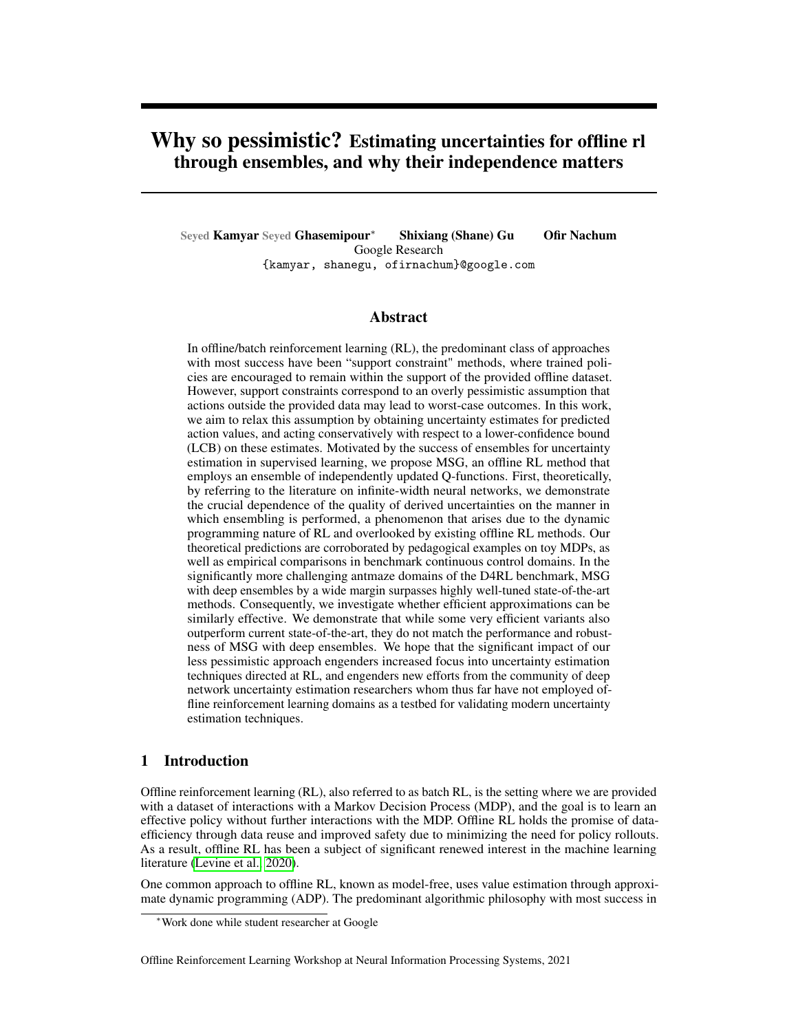- Ashvin Nair, Murtaza Dalal, Abhishek Gupta, and Sergey Levine. Awac: Accelerating online reinforcement learning with of ine datasets. 2020.
- Radford M Neal.Bayesian learning for neural network solume 118. Springer Science & Business Media, 2012.
- Roman Novak, Lechao Xiao, Jiri Hron, Jaehoon Lee, Alexander A Alemi, Jascha Sohl-Dickstein, and Samuel S Schoenholz. Neural tangents: Fast and easy in nite neural networks in partition. preprint arXiv:1912.0280,32019.
- Ian Osband, Charles Blundell, Alexander Pritzel, and Benjamin Van Roy. Deep exploration via bootstrapped dgn.Advances in neural information processing systems 4026–4034, 2016.
- Ian Osband, Benjamin Van Roy, Daniel J Russo, Zheng Wen, et al. Deep exploration via randomized value functions.J. Mach. Learn. Res20(124):1–62, 2019.
- Georg Ostrovski, Marc G Bellemare, Aäron Oord, and Rémi Munos. Count-based exploration with neural density models. International conference on machine learningo, 2721–2730. PMLR, 2017.
- Yaniv Ovadia, Emily Fertig, Jie Ren, Zachary Nado, David Sculley, Sebastian Nowozin, Joshua V Dillon, Balaji Lakshminarayanan, and Jasper Snoek. Can you trust your model's uncertainty? evaluating predictive uncertainty under dataset shift iv preprint arXiv:1906.025302019.
- Nick Pawlowski, Andrew Brock, Matthew CH Lee, Martin Rajchl, and Ben Glocker. Implicit weight uncertainty in neural networks. Xiv preprint arXiv: 1711.012972017.
- Xue Bin Peng, Aviral Kumar, Grace Zhang, and Sergey Levine. Advantage-weighted regression: Simple and scalable off-policy reinforcement learning. Xiv preprint arXiv:1910.0017, 72019.
- Julian Schrittwieser, Thomas Hubert, Amol Mandhane, Mohammadamin Barekatain, Ioannis Antonoglou, and David Silver. Online and ofine reinforcement learning by planning with a learned modelarXiv preprint arXiv:2104.0629, 42021.
- Vincent Sitzmann, Julien Martel, Alexander Bergman, David Lindell, and Gordon Wetzstein. Implicit neural representations with periodic activation functions wandes in Neural Information Processing System<sup>33</sup>, 2020.
- Alexander L Strehl, Lihong Li, and Michael L Littman. Reinforcement learning in nite mdps: Pac analysis.Journal of Machine Learning Research 0(11), 2009.
- P. Thomas, G. Theocharous, and M. Ghavamzadeh. High con dence off-policy evaluation. In Proceedings of the 29th Conference on Arti cial Intelligen 2015.
- Linh Tran, Bastiaan S Veeling, Kevin Roth, Jakub Swiatkowski, Joshua V Dillon, Jasper Snoek, Stephan Mandt, Tim Salimans, Sebastian Nowozin, and Rodolphe Jenatton. Hydra: Preserving ensemble diversity for model distillationarXiv preprint arXiv:2001.0469, 42020.
- Ashish Vaswani, Noam Shazeer, Niki Parmar, Jakob Uszkoreit, Llion Jones, Aidan N Gomez, ukasz Kaiser, and Illia Polosukhin. Attention is all you need. Advances in neural information processing systemsp. 5998–6008, 2017.
- Ziyu Wang, Alexander Novikov, Konrad Zolna, Jost Tobias Springenberg, Scott Reed, Bobak Shahriari, Noah Siegel, Josh Merel, Caglar Gulcehre, Nicolas Heess, et al. Critic regularized regressionarXiv preprint arXiv:2006.151342020.
- Yeming Wen, Dustin Tran, and Jimmy Ba. Batchensemble: an alternative approach to ef cient ensemble and lifelong learning. Xiv preprint arXiv: 2002.0671, 52020.
- Yifan Wu, George Tucker, and O r Nachum. Behavior regularized of ine reinforcement learning. arXiv preprint arXiv:1911.1136,12019.
- Greg Yang and Edward J Hu. Feature learning in in nite-width neural netwoakisiv preprint arXiv:2011.145222020.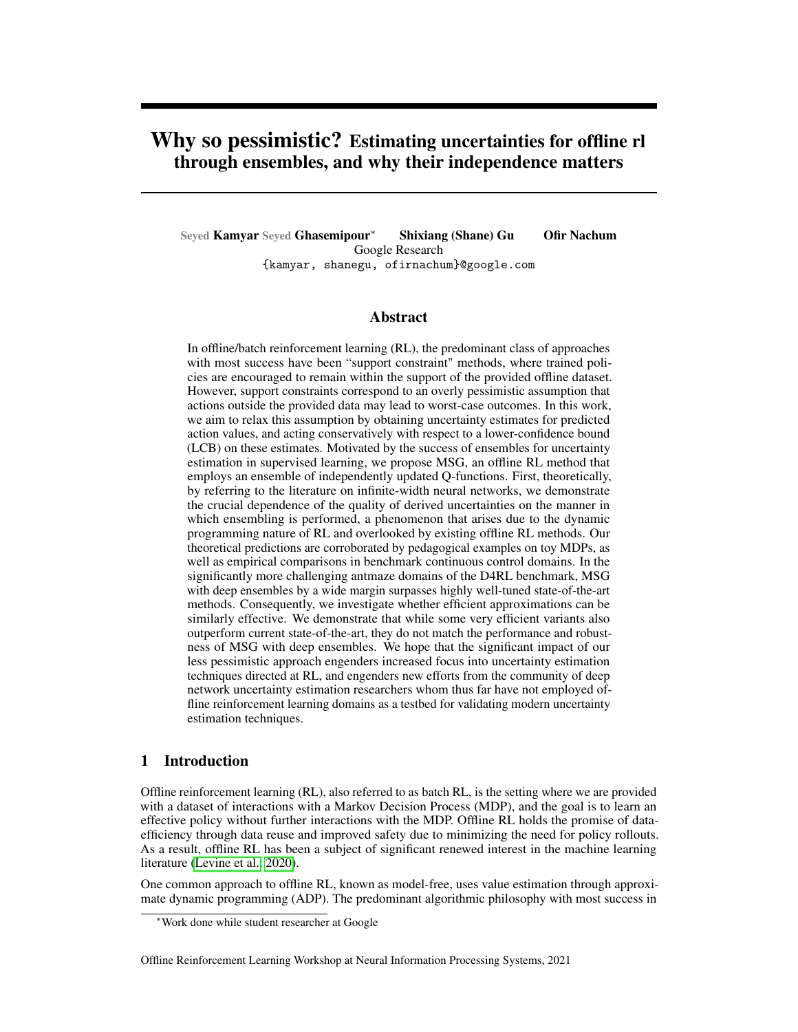- Mengjiao Yang, Bo Dai, O r Nachum, George Tucker, and Dale Schuurmans. Of ine policy selection under uncertaintyarXiv preprint arXiv:2012.0691,92020.
- Lantao Yu, Tianhe Yu, Chelsea Finn, and Stefano Ermon. Meta-inverse reinforcement learning with probabilistic context variables.rXiv preprint arXiv:1909.0931, 42019.
- Shilin Zhu, Xin Dong, and Hao Su. Binary ensemble neural network: More bits per network or more networks per bit? InProceedings of the IEEE/CVF Conference on Computer Vision and Pattern Recognition, pp. 4923–4932, 2019.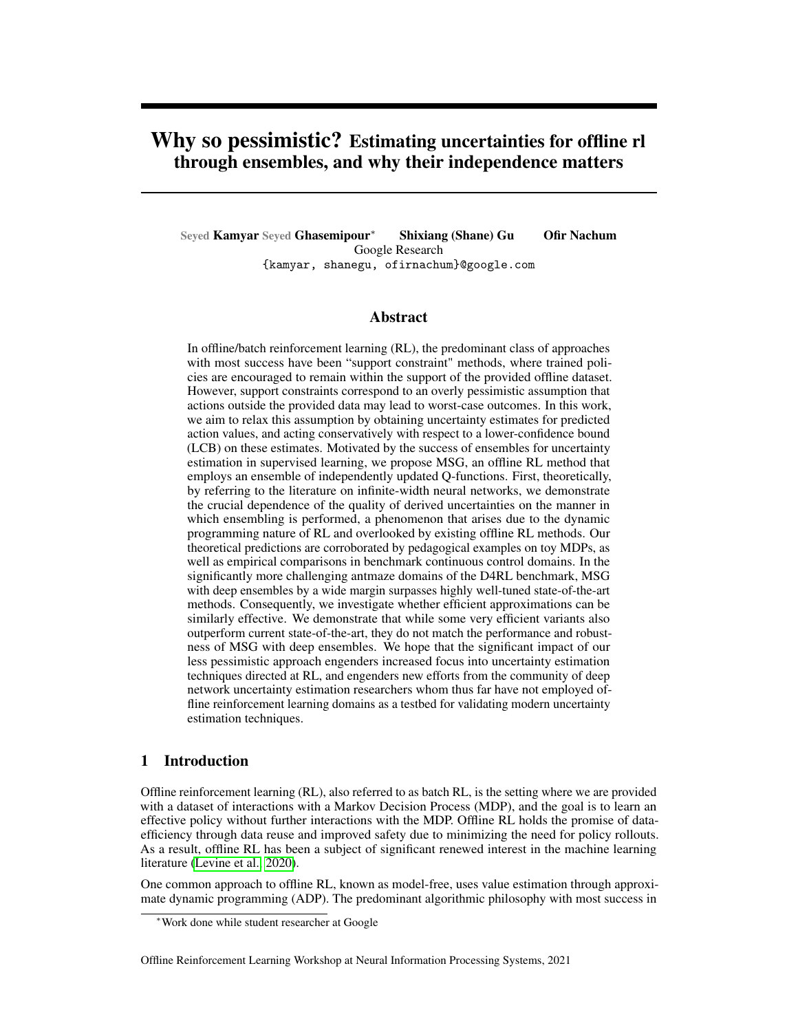# A D4RL Gym Locomotion Benchmark Table

| Domain                        | BC.  | CQL       |      |            | F-BRC (no bonus) |     |           | $\parallel$ MSG (N = 64) |      |    |          | Data Top 25    |     |
|-------------------------------|------|-----------|------|------------|------------------|-----|-----------|--------------------------|------|----|----------|----------------|-----|
| halfcheetah-medium36:1   50:1 |      |           | 1.2  |            | 45:7             | 0:5 | $0:01$    | 50:6                     | 1:5  |    | 0        | 37:0           | 2:0 |
| hopper-medium                 | 29:0 | 90:2      |      | 10:5 2:58  | 99:0             | 4:1 | 0:012     | 88:2                     | 11:6 |    |          | $-1$ 0.5 101:1 | 1:1 |
| ⊧walker2d-medium              | 6:6  | 82:8      |      | $0:6$ 3:38 | 81:6             | 0:2 | 0.016     | 83:6                     | 2:0  |    | $-1$ 0.1 | 77:6           | 1:4 |
| halfcheetah-mixed             | 38:4 | 47:6      | 2:5  | 0.67       | 45:3             | 0:1 | $0.01$ II | 52:1                     | 1:7  |    | $\Omega$ | 38:1           | 4:1 |
| hopper-mixed                  | 11:8 | 61:1      | 36:8 | 0:67       | 29:3             | 0:8 | 0.019     | 82:1                     | 24:2 | -2 | - 0      | 101:8          | 1:5 |
| walker2d-mixed                |      | 11:3 20:5 |      | $3:8$ 3:38 | 28:4             | 5:7 | 0.038     | 24:0                     | 9:4  |    | $-2$ 0.1 | 50:6           | 3:9 |

Table 3: Results on Gym subset of the D4RL benchmark. For MSG we use an ensemble size of For fairness of comparison, F-BRC is ran without adding a survival reward bonus. For each method we also report the hyperparameter value used. Full experimental details are presented in Appendix C.

# B Ef cient Ensembles & Ensemble Ablations Table

| Domain                | CQL    | Deep Ens. | $MIMO-0.5$ | MIMO-1 | Multi-Head | Batch Ens | N.<br>$= 1$  | Shared LCB | Shared Min |
|-----------------------|--------|-----------|------------|--------|------------|-----------|--------------|------------|------------|
| halfcheetah-medium    | 50.1   | 50.6      | 40.0       | 44.4   | 49.8       | 40.2      | 48.6         | 47.9       | 36.0       |
| hopper-medium         | 90.2   | 88.2      | 60.2       | 65.1   | 94.8       | 41.6      | 50.2         | 30.0       | 43.6       |
| walker2d-medium       | 82.8   | 83.6      | 80.7       | 83.6   | 84.5       | 13.2      | 84.9         | 85.5       | 0.0        |
| halfcheetah-mixed     | 47.6   | 52.1      | 0.0        | 6.7    | 49.4       | 43.0      | 49.6         | 51.0       | 2.3        |
| hopper-mixed          | 61.1   | 82.1      | 22.7       | 32.5   | 45.5       | 35.0      | 30.5         | 32.5       | 6.7        |
| walker2d-mixed        | 20.5   | 24.0      | 14.5       | 16.8   | 15.9       | 12.0      | 11.5         | 26.3       | 0.0        |
| antmaze-large-diverse | $15.8$ | 64.8      | 11.0       | 26.0   | 33.5       | 0.0       | noisy $30.5$ | 0.0        | 0.0        |
| antmaze-large-play    | 14.9   | 68.8      | 7.5        | 20.5   | 27.5       | 0.0       | noisy 11.0   | 0.0        | 0.0        |

Table 4: Results for ef cient ensembles and ensemble ablations.

# C D4RL Gym Details

All policies and Q-functions are a 3 layer neural network with relu activations and hidden layer size 256. The policy output is a normal distribution that is squashed to 1] using the tanh function. All methods were trained for 1M steps. CQL and MSG are trained with behavioral cloning (BC) for the rst 50K steps. F-BRC pretrains with 1M steps of BC.

CQL, F-BRC, and MSG are tuned with an equal hyperparameter search budget. Running the best found hyperparameter using 5 new random seeds. Each run is evaluated for 10 episodes, and the mean and standard deviation across the 5 runs is reported in the table. For fairness of comparison, F-BRC is ran without adding a survival reward bonus. MSG and CQL are implemented in our code, and for F-BRC we use the opensourced codebase.

### C.1 Hyperparameter Search

For all methods we performed hyperparameter search using 2 seeds. Based on the results of the 2 seeds, we chose the hyperparameter to use, and using this choice of hyperparameter we ran experiments with 5 new random seed.

MSG 2 f 0:; 1:; 2:; 4: 8:g, 2 f 0:; 0:1; 0:5; 1:; 2:g

- CQL 2 f 0:; 0:1g + np:exp(np:linspace(np:log(0:1); np:log(10:); steps = 23))
- F-BRC  $2 f 0:g + np:exp(np:linspace(np:log(0:01); np:log(10:0); steps = 24)$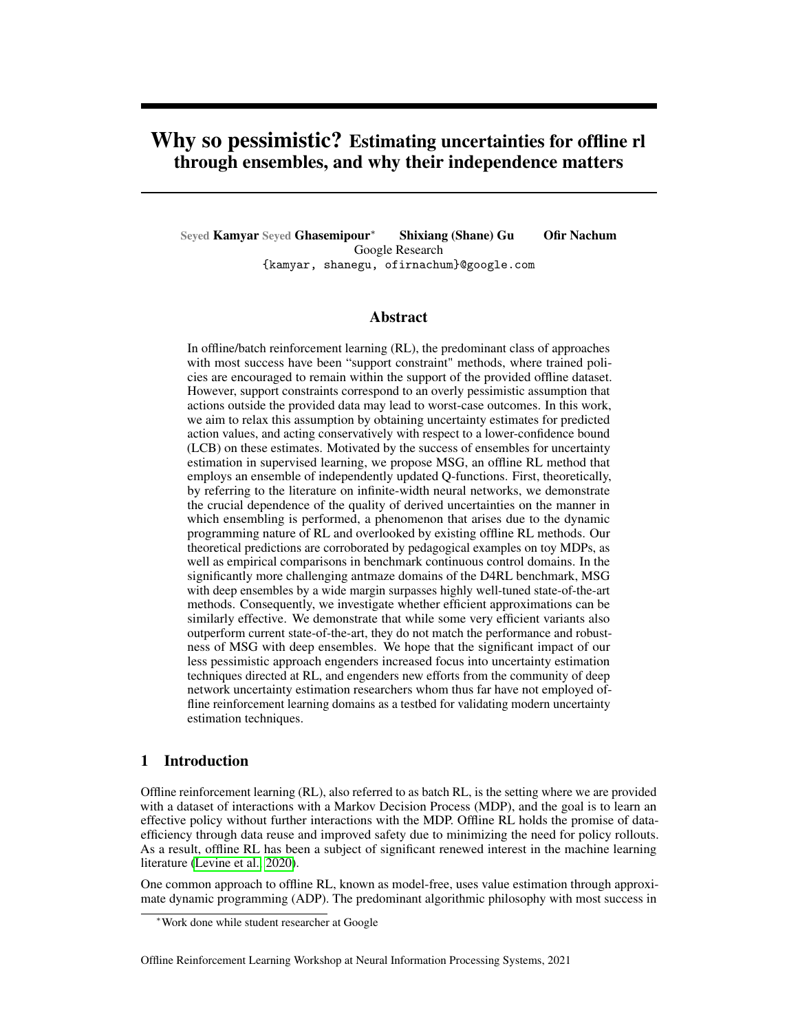(a) Visual depiction of MIMO Ensemble

(b) D4RL antmaze tasks. Figure taken from Fu et al. (2020).

## D Antmaze Details

We use the same hyperparameter search procedure as Gym results, with same architectures. The only difference is that models are trained for 2M steps and at evaluation time they are rolled out for 100 episodes instead of 10.

In prior work, the rewards in the of ine dataset are converted using the for  $\#$  (raight). We also use the same reward transformation.

## E RL Unplugged

### E.1 DM Control Suite Tasks

The networks used in Gulcehre et al. (2020) for DM Control Suite Tasks are very large relative to the networks we used in the D4RL benchmark; roughly the networks contain 60x more parameters. Using a large ensemble size with such architectures requires training using a large number of devices. Furthermore, since in our experiments with ef cient ensemble approximations we did not nd a suitable alternative to deep ensembles (section 5.3.1), we decided to use the same network architectures and  $= 64$  as in the D4RL setting (enabling single-GPU training as before).

Our hyperparameter search procedure was similar to before, where we rst performed a coarse search using 2 random seeds and hyperparameters  $4: 2: 4: 8: 9$ ,  $2 \nmid 0: 0: 59$ , and for the best found hyperparameter, ran nal experiments with 5 new random seeds.

## F Theory

For our notation to match Lee et al. (2019), throughout this section we use the metwork  $Q$ , and we usex instead of  $(s; a)$ .

In Lee et al. (2019) (section 2.4) it is shown that when training an in nitely wide neural network to perform regression using mean squared error, subject to technical conditions on the learning rate used, the predictions of the trained network are equivalent to if we had linearized (Taylor expanded) the network at its initialization, and trained the linearized network instead. This means that after iterations of our policy evaluation procedu&x; t; f  $_{t}^{lin}(x) = f_{t}(x)$ , where

$$
f_t^{\text{lin}}(x) := f_0(x) + r \quad f_0(x)j_{=0}!t
$$
  
 
$$
i_{=t} := t \quad 0
$$

Hence we only need to study the evolution of the linearized network facross iterations. The theorems in the main manuscript are direct corollaries of the following two derivations.

Below, we will overload some notation. Whé $\sharp$ <sup>n</sup> is applied to a matrix we mean that we appl<sup>ig</sup> to each row of the matrix and stack the results into a vector.  $\mathsf{B\!}(\mathsf{x}; \mathsf{X})$  we mean to treat as a row matrix.

F.1 Closed form when ensemble members use their own targets

For a single – in nitely wide – ensemble member, using the equations in Lee et al. (2019) (section 2.2, equations 9-10-11) we can write the following recursive updates for our policy evaluation procedure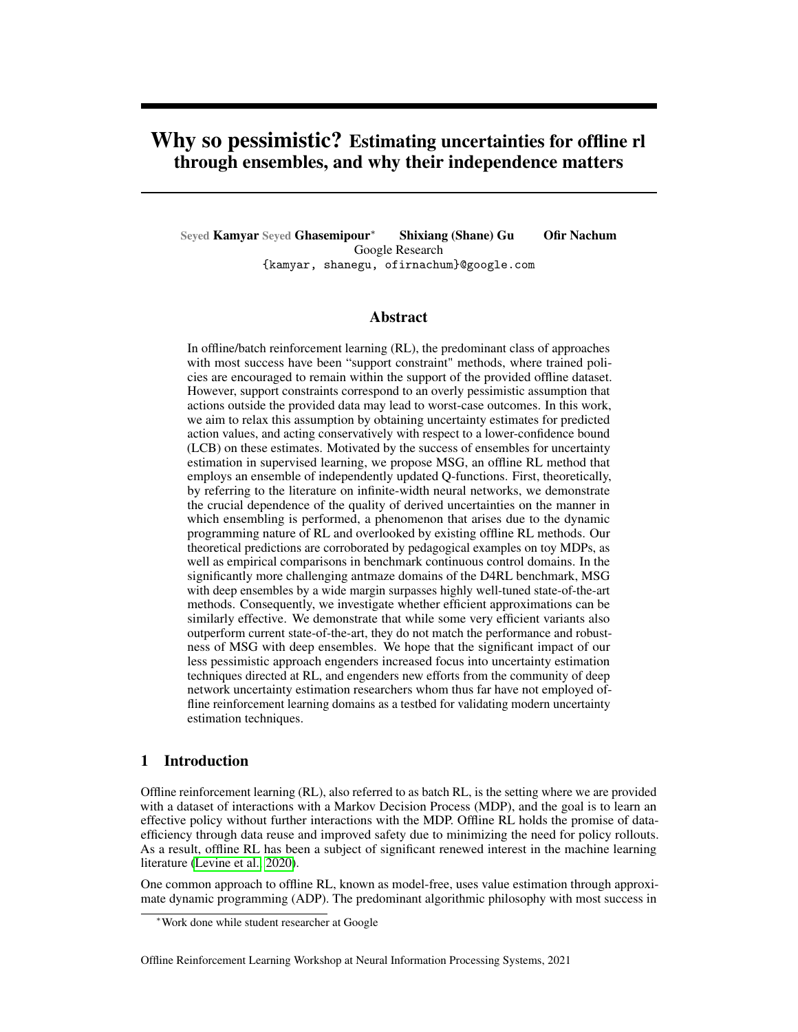$$
\Lambda_0^{-1} := \Lambda_0(X;X)^{-1}
$$
 (7)

$$
C := \Lambda_0(X^0; X) \Lambda_0^{-1}
$$
 (8)

$$
Y_t = R + f_t^{\text{lin}}(X^0)
$$
 (9)

$$
f_{t+1}^{\text{lin}}(X) = Y_t \tag{10}
$$

$$
8x; f_{t+1}^{\text{lin}}(x) = f_0(x) + \Lambda_0(x; X) \Lambda_0^{-1}(Y_t - f_0(X))
$$
\n(11)

$$
f_{t+1}^{\text{lin}}(X^0) = f_0(X^0) + \Lambda_0(X^0, X) \Lambda_0^{-1}(Y_t + f_0(X))
$$
\n(12)

$$
= f_0(X^0) + \Lambda_0(X^0, X) \Lambda_0^{-1} (R + f_1^{\text{lin}}(X^0) - f_0(X))
$$
\n(13)

$$
= f_0(X^0) + \mathbf{CR} + \mathbf{C}f_t^{\text{lin}}(X^0) \mathbf{C}f_0(X) \tag{14}
$$

$$
= f_0(X^0) + CR \quad Cf_0(X) + \quad Cf_{t} \text{lin}(X^0)
$$
 (15)

$$
= \cdots \tag{16}
$$

$$
= (1 + \cdots + {}^{t}C^{t}) f_{0}(X^{0}) + CR \quad Cf_{0}(X) + (C) {t+1} f_{0}(X^{0}) \qquad (17)
$$

$$
E[f_{t+1}^{lin}(X^0)] = (1 + \dots + {}^{t}C^{t})CR
$$
 (18)

Var[f lin <sup>t</sup> +1 (X 0 )] = E (1 + : : : + t C t )(f <sup>0</sup>(X 0 ) Cf <sup>0</sup>(X )) + ( C ) <sup>t</sup> +1 f <sup>0</sup>(X 0 ) 2 i (19) h 2 i

$$
E^{T} (1 + \cdots + {}^{t}C^{t}) (f_{0}(X^{0}) Cf_{0}(X)) \stackrel{2^{T}}{=} \text{ast} 11
$$
 (20)

# F.2 Closed form when ensemble members use shared mean targets

Let us consider the setting where all ensemble memebers use their mean as the target.

$$
\Lambda_0^{-1} := \Lambda_0(X; X)^{-1}
$$
 (21)

$$
C := \Lambda_0(X^0, X) \Lambda_0^{-1}
$$
 (22)

$$
Y_t = R + f_t^{\text{lin}}(X^0)
$$
 (23)

$$
f_{t+1}^{\text{lin}}(X) = Y_t \tag{24}
$$

$$
8x; f\right|_{t+1}^{\text{lin}}(x) = f_0(x) + \Lambda_0(x; X) \Lambda_0^{-1}(Y_t - f_0(X))
$$
\n(25)

$$
Y_t = R + \underset{\text{ensemble}}{E} [f_t^{\text{lin}}(X^0)] \tag{26}
$$

$$
= R + E_{\text{ensemble}} [f_0(X^0)] + C Y_{t-1} C E_{\text{ensemble}} [f_0(X)] \qquad (27)
$$
  
= R + C Y. (28)

$$
= R + C Y_t
$$
 (28)

$$
= \cdots \tag{29}
$$

$$
= (1 + \cdots + {}^{t}C^{t})R
$$
 (30)

# F.3 Closed form when ensemble members use shared LCB targets

Let us consider the setting where all ensemble memebers use shared LCB as the target.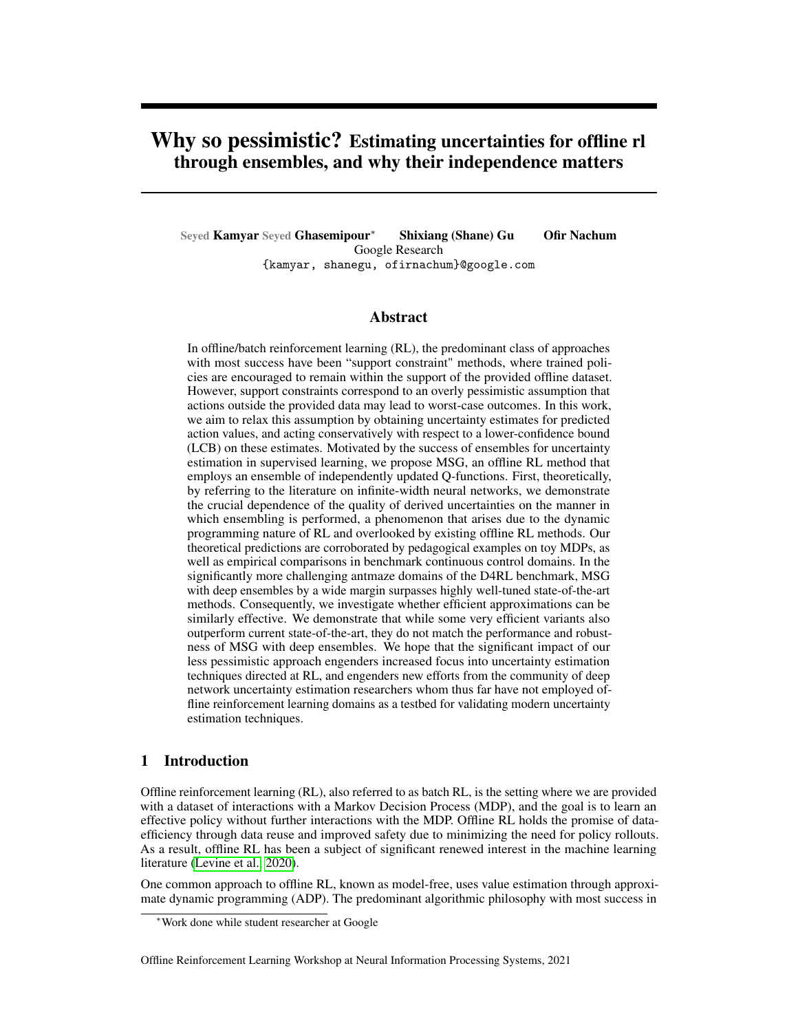$$
\hat{d}^{-1} := \hat{d}^{-1} \left( (X; X)^{-1} \right) \tag{31}
$$

$$
C := \int_0^\infty (X'/X) \Big|_0^{\infty - 1} \tag{32}
$$

$$
Y_t = LCB \t R + \t f_t^{\text{lin}}(X') \t (33)
$$

$$
= R + \text{LCB } f_t^{\text{lin}}(X') \tag{34}
$$

$$
f_{t+1}^{\text{lin}}(\mathcal{X}) = Y_t \tag{35}
$$

$$
\beta x; f_{t+1}^{\text{lin}}(x) = f_0(x) + \left( \alpha x / x \right)^{-1} \left( \gamma_t \right) f_0(x) \tag{36}
$$

$$
E[f_{t+1}(X')] = E[f_0(X') + C \ (Y_t \ f_0(X))]
$$
\n(37)

$$
= C \, Y_t \tag{38}
$$

$$
Var[F_{t+1}(X')] = E \int_{0}^{11} f_0(X') C f_0(X)^{21} = \text{constant}
$$
 (39)

$$
A := 'constant \tag{40}
$$

$$
\mathsf{LCB} \quad f_{t+1}^{\mathrm{lin}}(X') = C \quad Y_t \quad \mathcal{A} \tag{41}
$$

$$
Y_t = R + \text{LCB } f_t^{\text{lin}}(X') \tag{42}
$$

$$
= R + C Y_t \qquad A \tag{43}
$$

$$
= (1 + \cdots + {}^{t}C^{t})R \quad (1 + \cdots + {}^{t-1}C^{t-1}) \ A + {}^{t+1}C^{t}LCB \ f_{0}(X')
$$

$$
(44)
$$

$$
(1 + \cdots + {}^{t}C^{t})R
$$
  $(1 + \cdots + {}^{t-1}C^{t-1}) A$  as  $t \neq 1$  (45)

$$
\text{LCB} \ \ f_{t+1}^{\text{lin}}(X') \qquad (1 + \cdots + {}^{t}C^{t})CR \quad (1 + \cdots + {}^{t}C^{t})A \tag{46}
$$

### F.4 Why is Independent preferable to Shared-LCB

An important question to consider is why Independent ensembles should be preferred over Shared-LCB ensembles? Here we present our reasoning for why we Independent ensembles would be preferable to Shared-LCB ensembles.

With the derivations in the above sections, we can compare the difference amongst uncertainty estimation techniques. The key comparison needed is to understand the difference between LCB  $f_{t+1}^{\text{lin}}(\chi')$  under Independent vs. Shared-LCB settings. As a reminder,  $\chi'$  is a matrix where each row contains  $(s/(s))$ , and  $f_{t+1} = f_{t+1}^{\text{lin}}$  under the infinite-width regime. From the above equations we have:

| Independent: LCB |  | $f_{t+1}^{\text{lin}}(X')$ | $(1 + \cdots + {}^{t}C^{t})CR$ | $\Gamma$                     | $(1 + \cdots + {}^{t}C^{t})(f_{0}(X') - Cf_{0}(X))$ | $2^{\dagger}$ |
|------------------|--|----------------------------|--------------------------------|------------------------------|-----------------------------------------------------|---------------|
| Shared-LCB: LCB  |  | $f_{t+1}^{\text{lin}}(X')$ | $(1 + \cdots + {}^{t}C^{t})CR$ | $(1 + \cdots + {}^{t}C^{t})$ | $\Gamma$                                            |               |
| Th               |  | $f_{0}(X')$                | $Cf_{0}(X)$                    | $2^{\dagger}$                |                                                     |               |

where the square and square-root operations are applied element-wise to the vector values.

As can be seen, the equations for the lower-confidence bound (LCB) in both settings are very similar, with the main difference being in the second terms which correspond to the "pessimism" terms. In the infinite-width setting, the only source of randomness is in the initialization of the networks. This fact presents itself in the two equations above, where the random variables  $f_0(X')$   $Cf_0(X)$  produce the uncertainty in the ensemble of networks; regardless of using Independent or Shared-LCB, after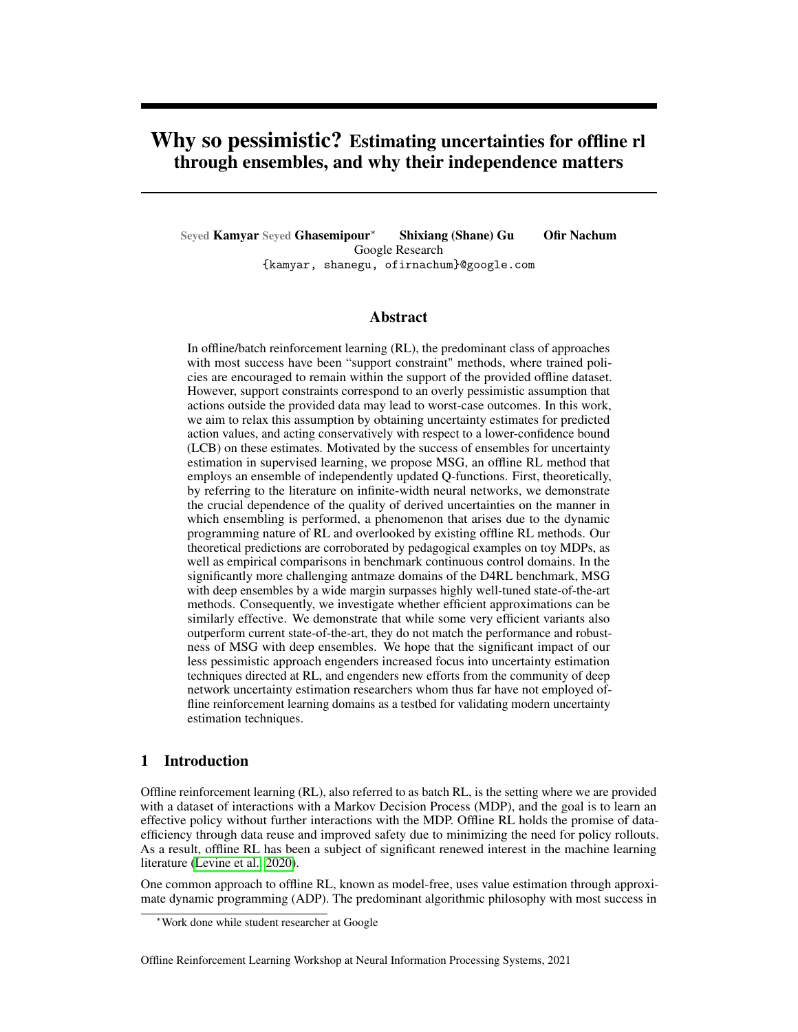any iteration  $t$  we have,

$$
Y_t = R + f_t(X') \tag{47}
$$

$$
f_{t+1}(X') = f_0(X') + C(Y_t \quad f_0(X))
$$
\n(48)

$$
= C\,Y_t + (f_0(X') \quad C f_0(X)) \tag{49}
$$

$$
E[f_{t+1}(X')] = C E[Y_t]
$$
\n(50)

Thus,  $f_0(X')$   $C f_0(X)$  represents the random value accumulated in each iteration, and they are accumulated through backups by the geometric term  $(1 + \cdots + {}^{t}C^{t})$ .

Here is where we observe the key difference between Independent and Shared-LCB: whether the term  $(1 + \cdots + {}^{t}C^{t})$  is applied inside or outside the expectation. In Independent ensembles, the randomness/uncertainties is first backed-up by the geometric term and afterward the standard-deviation is computed. In Shared-LCB however, first the standard-deviation of the randomness/uncertainties is computed, and afterwards this value is backed up. Not only do we believe that the former (Independent) makes more sense intuitively, but in the case of Shared-LCB, the second term may contain *negative values* which would actually result in an *optimism bonus*!

#### F.5 Comparing the structure of uncertainties under Independent and Shared-Mean

The above results enable us to compute in closed form the predictions of the infinite-width networks under different training regimes  $\partial x$ .

The equations above present the closed form expressions for the predictions of each ensemble member after  $t + 1$  iterations of the policy evaluation procedure. Since the ensemble members only differ in their weight initialization (random draws from the initial weight distribution), the random variables are  $f_0(x)$ ;  $f_0(x)$ ;  $f_0(x')$ . As mentioned in the main text, the neural tangent  $\lambda$  is identical across ensemble members due to being in the infinite-width regime (Jacot et al., 2018).

Since  $\partial X$ ;  $\mathbb{E}_{\text{ensemble}}[f_0(x)] = 0$  (Lee et al., 2019, 2017; Matthews et al., 2018), the expected values of  $f_{t+1}(x)$  is identical in for both methods of computing TD targets,

<span id="page-18-0"></span>
$$
\mathbb{E}\left[Y_{t+1}\right] = \left(1 + \dots + \ {}^{t}C^{t}\right)R\tag{51}
$$

$$
\partial x'_{\text{ensemble}}[f_{t+1}(x)] = \wedge_0(x;X) \wedge_0^{-1} (1 + \cdots + \wedge^t C^t) R \tag{52}
$$

However, the expression for variances is very different. When the targets used are independent we have,

$$
8x: \text{Var}_{\text{ensemble}}[f_{t+1}(x)]
$$
  
=  $\underset{\text{ensemble}}{\text{E}} f_0(x) + \gamma_0(x; X) \gamma_0^{-1} + \dots + \gamma_C t} f_0(X') f_0(X) \gamma_0^{-2}$  (53)

In contrast, when the targets are shared mean of targets, we have,

$$
\beta x \cdot \text{Var}_{ensemble} [f_{t+1}(x)] = \text{E}_{ensemble} \quad f_0(x) + \gamma_0 (x; X) \gamma_0^{-1} \quad f_0(X) \quad \text{(54)}
$$

The matrix C captures a notion of similarity between the  $(s/a)$  in X, and the  $(s', (s'))$  in X'. Thus, the term  $C<sup>t</sup>$  has the interpretation of where the policy (s) would find itself t steps into the future, and  $(1 + \cdots + {}^{t}C^{t})$  can be interpreted as the policy's discounted state-action visitation, but in the feature-space given by the neural network architecture. Since in ensembles the standard deviation of predictions quantifies the amount of uncertainty, the expression in equation [53](#page-18-0) tells us that when the targets are independent, the ensemble of Q-functions "backs up the uncertainties through dynamic programming with respect to the policy being evaluated".

In contrast, when the targets are shared, the closed form expression for  $f_{t+1}(x)$  is equivalent to an oracle presenting us with targets  $(1 + \cdots + \binom{t}{c})R$  for training examples X, and training the ensemble members using mean squared error regression to regress these values.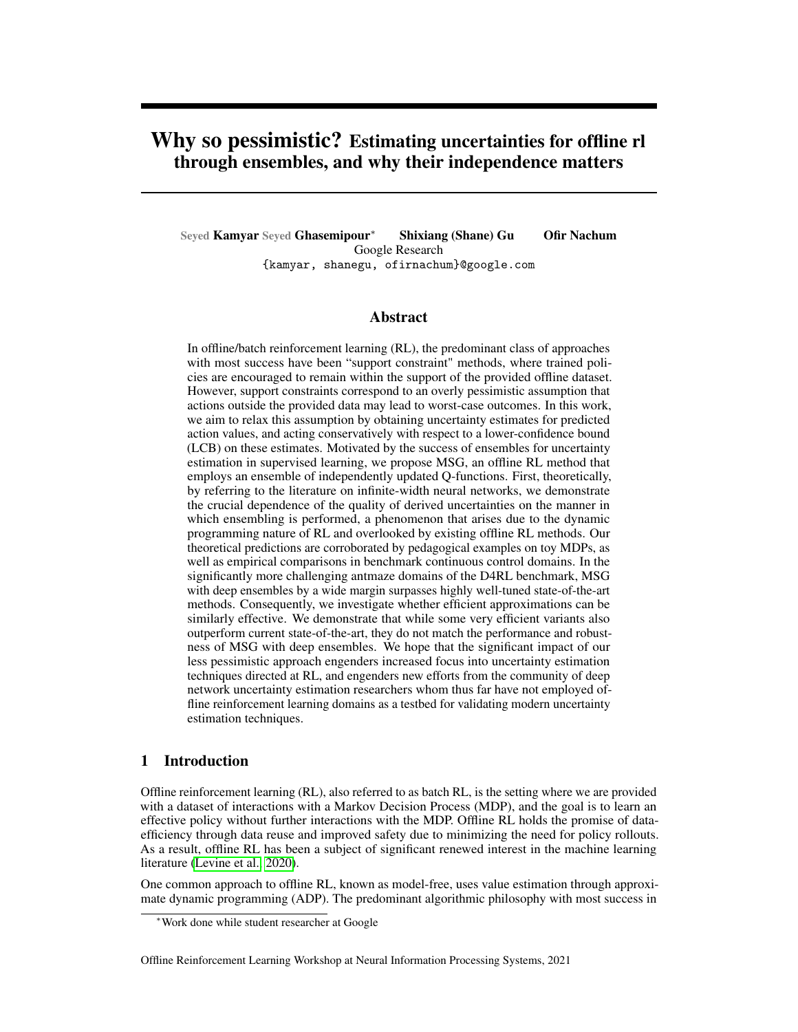<span id="page-19-0"></span>



Figure 5: Comparing results of finite-width networks to closed form equations derived in Theorem 4.1. In the NTK parameterization, as width  $\ell$  1, the structure of the variances collapse and resemble the infinite-width closed-form results. We believe this is due to infinite-width networks under the NTK regime not being able to learn features (Yang  $\&$  Hu, 2020). Supporting this hypothesis, we observe that networks parameterized by the Maximal Parameterization of Yang & Hu (2020) maintain the desired uncertainty structure as the width of the networks grows larger.

### G Additional Toy Experiments & Details

### G.1 Additional Implementation Details for Figure 1

To evaluate the quality of uncertainties obtained from different Q-function ensembling approaches, we create  $N = 64$  O-function networks, each being a one hidden layer neural network with hidden dimension 512 and tanh activation. The initial weight distribution is a fan-in truncated normal distribution with scale 10.0, and the initial bias distribution is fan-in truncated normal distribution with scale 0.05. We did not find results with other activation functions and choices of initial weight and bias distribution to be qualitatively different. We use discount  $= 0.99$  and the networks are optimized using the Adam (Kingma & Ba, 2014) optimizer with learning rate 1e-4. In each iteration, we first compute the TD targets using the desired approach (e.g. independent vs. shared targets) and then fit the Q-functions to their respective targets with 2000 steps of full batch gradient descent. We train the networks for 1000 such iterations (for a total of 2000 1000 gradient steps). Note that we do not use target networks. Given the small size of networks and data, these experiments can be done within a few minutes using a single GPU in Google Colaboratory which we will also opensource.

#### G.2 Additional Toy Experiments

The toy experiment presented in section 4.2 uses a single-hidden layer finite-width neural network architecture with tanh activations, uses the "standard weight parameterization" (i.e. the weight parameterization used in practice) as opposed to the NTK parameterization (Novak et al., 2019), and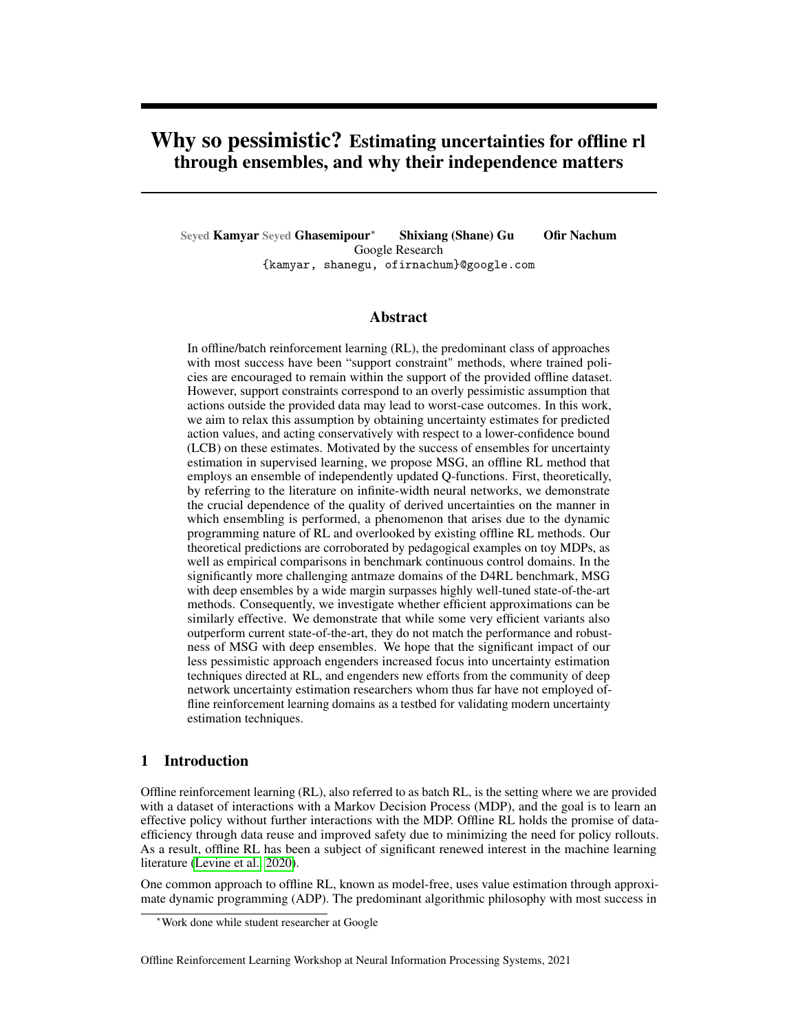optimizes the networks using the Adam optimizer (Kingma & Ba, 2014). While this setup is close to the practical setting and demonstrates the relevance of our proposal for independent ensembles for the practical setting, an important question posed by our reviewers is how close these results are too the theoretical predictions present in 4.1. To answer this question, we present the following set of results.

Using the identical MDP and offline data as before, we implement 1 hidden layer neural networks with erf non-lineartiy. The networks are implemented using the Neural Tangents library (Novak et al., 2019), and use the NTK parameterization. The networks in the ensemble are optimized using full-batch gradient descent with learning rate 1 for 500 steps of FQE Fonteneau et al. (2013), where each in each step the networks are updated for 1000 gradient steps. We vary the width of the networks from 32 to 32768 in increments of a factor of 4, plotting the mean and standard deviation of the network predictions. The ensemble size is set to  $\overline{N} = 16$ , except for width 32768 where  $\overline{N} = 4$ .

We compare the results from finite-width networks to computing the mean and standard deviation in closed for using 4.1. Using the Neural Tangents library (Novak et al., 2019) we obtained the NTK for the architecture described in the previous paragraph (1 hidden layer with erf non-linearity). We found that the matrix inversion required in our equations results in numerical errors. Hence, we make the modification  $(X; X)$  $(X; X) + 1e-3$  I.

Figure [5](#page-19-0) presents our results. As the width of the networks grow larger, the shape of the uncertainties becomes more similar to our closed-form equations (i.e. the variances become very small). While we do not have a rigorous explanation for why finite-width networks exhibit intuitively more desirable behaviors, we present below a strong hypothesis backed by empirical evidence. We believe rigorously answering this question is an incredibly interesting avenue for future work.

Hypothesis: Infinite-width networks in the NTK parameterization/regime do not learn data-dependent features (Yang & Hu, 2020). Furthermore, as can be seen in the equations of Theorem 4.1, the variances depend the function values and features (kernel, C matrix, etc.) *at initialization*. Yang & Hu (2020) present a different approach for parameterizing infinite-width networks called the "Maximal Parameterization", which enables inifinite-width networks to learn data-dependent features. We perform the same experiment as above, by replacing the NTK-parameterized networks with Maximal Parameterizations. Figure [5](#page-19-0) presents our empirical results for network widths from 32 to 32768. Excitingly, we observe that with Maximial Parameterization, even our widest networks recover the intuitively desired form of uncertainty described in section 4.2! The solutions of these networks also appear much more accurate, particularly on the right hand side of the plot where with the stepped structure; each step appears to be approximately 0.1 in width, which is the action of the policy being evaluated.

### <span id="page-20-0"></span>H Statistical Model



(a) Q-function generative process: the graphical model above represents the induced distribution over Qfunctions when conditioning on a particular policy evaluation algorithm, policy, offline dataset, and Q-function network architecture.



(b) An example of an interesting extension

An interesting question posed by reviewers of our work was "[W]hatever formal reasoning system we'd like to use, what is the ideal answer, given access to arbitrary computational resources, so that approximations are unnecessary? I.e., how do we quantify our uncertainty about the MDP and value function before seeing data, and how do we quantify it after seeing data?"

It is important to begin by clarifying what is the mathematical object we are trying to obtain uncertainties over. In this work, we do not quantify uncertainties about any aspects of the MDP itself (although this is an interesting question which comes up in model-based methods as well as other